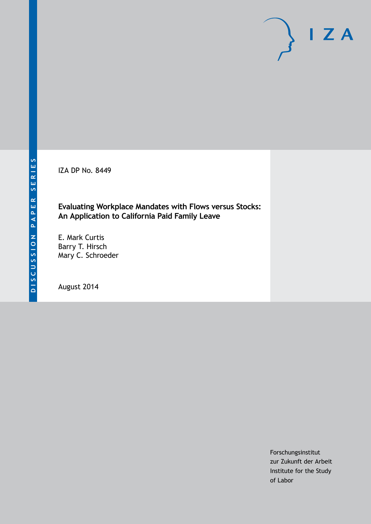IZA DP No. 8449

### **Evaluating Workplace Mandates with Flows versus Stocks: An Application to California Paid Family Leave**

E. Mark Curtis Barry T. Hirsch Mary C. Schroeder

August 2014

Forschungsinstitut zur Zukunft der Arbeit Institute for the Study of Labor

 $I Z A$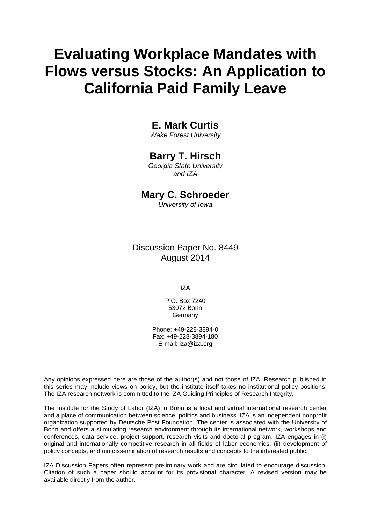# **Evaluating Workplace Mandates with Flows versus Stocks: An Application to California Paid Family Leave**

# **E. Mark Curtis**

*Wake Forest University*

## **Barry T. Hirsch**

*Georgia State University and IZA*

## **Mary C. Schroeder**

*University of Iowa*

Discussion Paper No. 8449 August 2014

IZA

P.O. Box 7240 53072 Bonn **Germany** 

Phone: +49-228-3894-0 Fax: +49-228-3894-180 E-mail: [iza@iza.org](mailto:iza@iza.org)

Any opinions expressed here are those of the author(s) and not those of IZA. Research published in this series may include views on policy, but the institute itself takes no institutional policy positions. The IZA research network is committed to the IZA Guiding Principles of Research Integrity.

The Institute for the Study of Labor (IZA) in Bonn is a local and virtual international research center and a place of communication between science, politics and business. IZA is an independent nonprofit organization supported by Deutsche Post Foundation. The center is associated with the University of Bonn and offers a stimulating research environment through its international network, workshops and conferences, data service, project support, research visits and doctoral program. IZA engages in (i) original and internationally competitive research in all fields of labor economics, (ii) development of policy concepts, and (iii) dissemination of research results and concepts to the interested public.

<span id="page-1-0"></span>IZA Discussion Papers often represent preliminary work and are circulated to encourage discussion. Citation of such a paper should account for its provisional character. A revised version may be available directly from the author.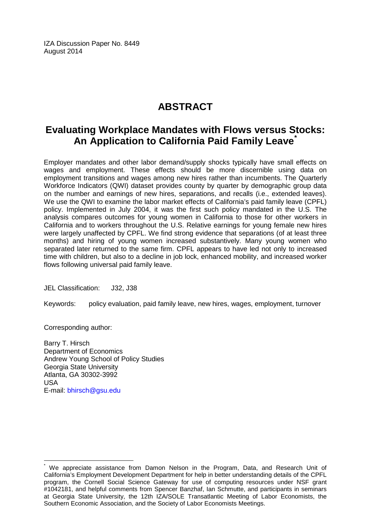IZA Discussion Paper No. 8449 August 2014

# **ABSTRACT**

# **Evaluating Workplace Mandates with Flows versus Stocks: An Application to California Paid Family Leave[\\*](#page-1-0)**

Employer mandates and other labor demand/supply shocks typically have small effects on wages and employment. These effects should be more discernible using data on employment transitions and wages among new hires rather than incumbents. The Quarterly Workforce Indicators (QWI) dataset provides county by quarter by demographic group data on the number and earnings of new hires, separations, and recalls (i.e., extended leaves). We use the QWI to examine the labor market effects of California's paid family leave (CPFL) policy. Implemented in July 2004, it was the first such policy mandated in the U.S. The analysis compares outcomes for young women in California to those for other workers in California and to workers throughout the U.S. Relative earnings for young female new hires were largely unaffected by CPFL. We find strong evidence that separations (of at least three months) and hiring of young women increased substantively. Many young women who separated later returned to the same firm. CPFL appears to have led not only to increased time with children, but also to a decline in job lock, enhanced mobility, and increased worker flows following universal paid family leave.

JEL Classification: J32, J38

Keywords: policy evaluation, paid family leave, new hires, wages, employment, turnover

Corresponding author:

Barry T. Hirsch Department of Economics Andrew Young School of Policy Studies Georgia State University Atlanta, GA 30302-3992 USA E-mail: [bhirsch@gsu.edu](mailto:bhirsch@gsu.edu)

We appreciate assistance from Damon Nelson in the Program, Data, and Research Unit of California's Employment Development Department for help in better understanding details of the CPFL program, the Cornell Social Science Gateway for use of computing resources under NSF grant #1042181, and helpful comments from Spencer Banzhaf, Ian Schmutte, and participants in seminars at Georgia State University, the 12th IZA/SOLE Transatlantic Meeting of Labor Economists, the Southern Economic Association, and the Society of Labor Economists Meetings.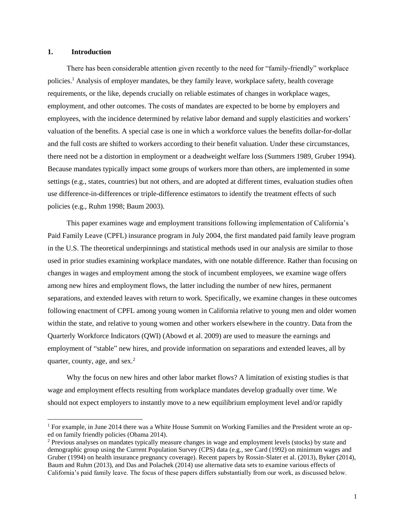#### **1. Introduction**

 $\overline{a}$ 

There has been considerable attention given recently to the need for "family-friendly" workplace policies.<sup>1</sup> Analysis of employer mandates, be they family leave, workplace safety, health coverage requirements, or the like, depends crucially on reliable estimates of changes in workplace wages, employment, and other outcomes. The costs of mandates are expected to be borne by employers and employees, with the incidence determined by relative labor demand and supply elasticities and workers' valuation of the benefits. A special case is one in which a workforce values the benefits dollar-for-dollar and the full costs are shifted to workers according to their benefit valuation. Under these circumstances, there need not be a distortion in employment or a deadweight welfare loss (Summers 1989, Gruber 1994). Because mandates typically impact some groups of workers more than others, are implemented in some settings (e.g., states, countries) but not others, and are adopted at different times, evaluation studies often use difference-in-differences or triple-difference estimators to identify the treatment effects of such policies (e.g., Ruhm 1998; Baum 2003).

This paper examines wage and employment transitions following implementation of California's Paid Family Leave (CPFL) insurance program in July 2004, the first mandated paid family leave program in the U.S. The theoretical underpinnings and statistical methods used in our analysis are similar to those used in prior studies examining workplace mandates, with one notable difference. Rather than focusing on changes in wages and employment among the stock of incumbent employees, we examine wage offers among new hires and employment flows, the latter including the number of new hires, permanent separations, and extended leaves with return to work. Specifically, we examine changes in these outcomes following enactment of CPFL among young women in California relative to young men and older women within the state, and relative to young women and other workers elsewhere in the country. Data from the Quarterly Workforce Indicators (QWI) (Abowd et al. 2009) are used to measure the earnings and employment of "stable" new hires, and provide information on separations and extended leaves, all by quarter, county, age, and sex.<sup>2</sup>

Why the focus on new hires and other labor market flows? A limitation of existing studies is that wage and employment effects resulting from workplace mandates develop gradually over time. We should not expect employers to instantly move to a new equilibrium employment level and/or rapidly

<sup>&</sup>lt;sup>1</sup> For example, in June 2014 there was a White House Summit on Working Families and the President wrote an oped on family friendly policies (Obama 2014).

<sup>2</sup> Previous analyses on mandates typically measure changes in wage and employment levels (stocks) by state and demographic group using the Current Population Survey (CPS) data (e.g., see Card (1992) on minimum wages and Gruber (1994) on health insurance pregnancy coverage). Recent papers by Rossin-Slater et al. (2013), Byker (2014), Baum and Ruhm (2013), and Das and Polachek (2014) use alternative data sets to examine various effects of California's paid family leave. The focus of these papers differs substantially from our work, as discussed below.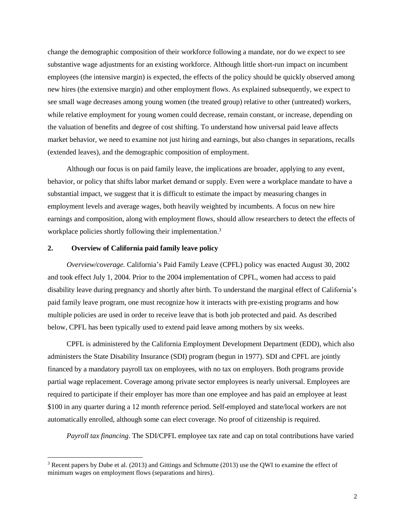change the demographic composition of their workforce following a mandate, nor do we expect to see substantive wage adjustments for an existing workforce. Although little short-run impact on incumbent employees (the intensive margin) is expected, the effects of the policy should be quickly observed among new hires (the extensive margin) and other employment flows. As explained subsequently, we expect to see small wage decreases among young women (the treated group) relative to other (untreated) workers, while relative employment for young women could decrease, remain constant, or increase, depending on the valuation of benefits and degree of cost shifting. To understand how universal paid leave affects market behavior, we need to examine not just hiring and earnings, but also changes in separations, recalls (extended leaves), and the demographic composition of employment.

Although our focus is on paid family leave, the implications are broader, applying to any event, behavior, or policy that shifts labor market demand or supply. Even were a workplace mandate to have a substantial impact, we suggest that it is difficult to estimate the impact by measuring changes in employment levels and average wages, both heavily weighted by incumbents. A focus on new hire earnings and composition, along with employment flows, should allow researchers to detect the effects of workplace policies shortly following their implementation.<sup>3</sup>

#### **2. Overview of California paid family leave policy**

 $\overline{a}$ 

*Overview/coverage.* California's Paid Family Leave (CPFL) policy was enacted August 30, 2002 and took effect July 1, 2004. Prior to the 2004 implementation of CPFL, women had access to paid disability leave during pregnancy and shortly after birth. To understand the marginal effect of California's paid family leave program, one must recognize how it interacts with pre-existing programs and how multiple policies are used in order to receive leave that is both job protected and paid. As described below, CPFL has been typically used to extend paid leave among mothers by six weeks.

CPFL is administered by the California Employment Development Department (EDD), which also administers the State Disability Insurance (SDI) program (begun in 1977). SDI and CPFL are jointly financed by a mandatory payroll tax on employees, with no tax on employers. Both programs provide partial wage replacement. Coverage among private sector employees is nearly universal. Employees are required to participate if their employer has more than one employee and has paid an employee at least \$100 in any quarter during a 12 month reference period. Self-employed and state/local workers are not automatically enrolled, although some can elect coverage. No proof of citizenship is required.

*Payroll tax financing*. The SDI/CPFL employee tax rate and cap on total contributions have varied

<sup>3</sup> Recent papers by Dube et al. (2013) and Gittings and Schmutte (2013) use the QWI to examine the effect of minimum wages on employment flows (separations and hires).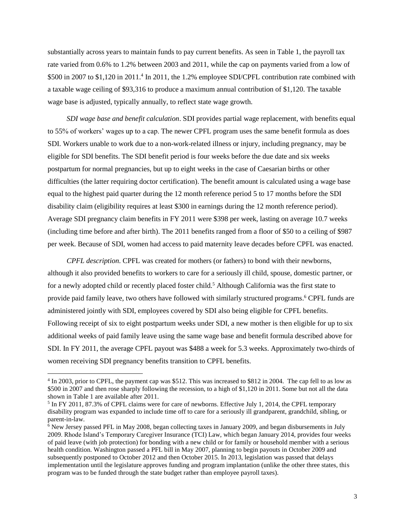substantially across years to maintain funds to pay current benefits. As seen in Table 1, the payroll tax rate varied from 0.6% to 1.2% between 2003 and 2011, while the cap on payments varied from a low of \$500 in 2007 to \$1,120 in 2011.<sup>4</sup> In 2011, the 1.2% employee SDI/CPFL contribution rate combined with a taxable wage ceiling of \$93,316 to produce a maximum annual contribution of \$1,120. The taxable wage base is adjusted, typically annually, to reflect state wage growth.

*SDI wage base and benefit calculation*. SDI provides partial wage replacement, with benefits equal to 55% of workers' wages up to a cap. The newer CPFL program uses the same benefit formula as does SDI. Workers unable to work due to a non-work-related illness or injury, including pregnancy, may be eligible for SDI benefits. The SDI benefit period is four weeks before the due date and six weeks postpartum for normal pregnancies, but up to eight weeks in the case of Caesarian births or other difficulties (the latter requiring doctor certification). The benefit amount is calculated using a wage base equal to the highest paid quarter during the 12 month reference period 5 to 17 months before the SDI disability claim (eligibility requires at least \$300 in earnings during the 12 month reference period). Average SDI pregnancy claim benefits in FY 2011 were \$398 per week, lasting on average 10.7 weeks (including time before and after birth). The 2011 benefits ranged from a floor of \$50 to a ceiling of \$987 per week. Because of SDI, women had access to paid maternity leave decades before CPFL was enacted.

*CPFL description*. CPFL was created for mothers (or fathers) to bond with their newborns, although it also provided benefits to workers to care for a seriously ill child, spouse, domestic partner, or for a newly adopted child or recently placed foster child.<sup>5</sup> Although California was the first state to provide paid family leave, two others have followed with similarly structured programs. <sup>6</sup> CPFL funds are administered jointly with SDI, employees covered by SDI also being eligible for CPFL benefits. Following receipt of six to eight postpartum weeks under SDI, a new mother is then eligible for up to six additional weeks of paid family leave using the same wage base and benefit formula described above for SDI. In FY 2011, the average CPFL payout was \$488 a week for 5.3 weeks. Approximately two-thirds of women receiving SDI pregnancy benefits transition to CPFL benefits.

<sup>4</sup> In 2003, prior to CPFL, the payment cap was \$512. This was increased to \$812 in 2004. The cap fell to as low as \$500 in 2007 and then rose sharply following the recession, to a high of \$1,120 in 2011. Some but not all the data shown in Table 1 are available after 2011.

 $<sup>5</sup>$  In FY 2011, 87.3% of CPFL claims were for care of newborns. Effective July 1, 2014, the CPFL temporary</sup> disability program was expanded to include time off to care for a seriously ill grandparent, grandchild, sibling, or parent-in-law.

<sup>6</sup> New Jersey passed PFL in May 2008, began collecting taxes in January 2009, and began disbursements in July 2009. Rhode Island's Temporary Caregiver Insurance (TCI) Law, which began January 2014, provides four weeks of paid leave (with job protection) for bonding with a new child or for family or household member with a serious health condition. Washington passed a PFL bill in May 2007, planning to begin payouts in October 2009 and subsequently postponed to October 2012 and then October 2015. In 2013, legislation was passed that delays implementation until the legislature approves funding and program implantation (unlike the other three states, this program was to be funded through the state budget rather than employee payroll taxes).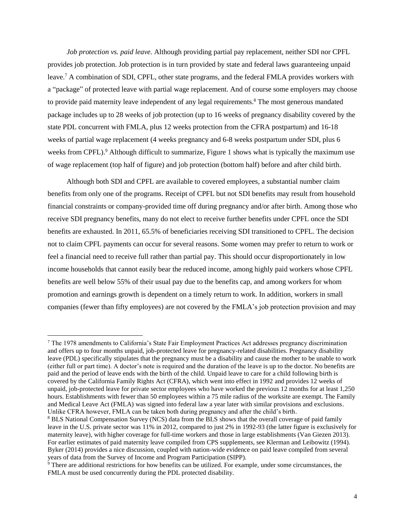*Job protection vs. paid leave.* Although providing partial pay replacement, neither SDI nor CPFL provides job protection. Job protection is in turn provided by state and federal laws guaranteeing unpaid leave.<sup>7</sup> A combination of SDI, CPFL, other state programs, and the federal FMLA provides workers with a "package" of protected leave with partial wage replacement. And of course some employers may choose to provide paid maternity leave independent of any legal requirements.<sup>8</sup> The most generous mandated package includes up to 28 weeks of job protection (up to 16 weeks of pregnancy disability covered by the state PDL concurrent with FMLA, plus 12 weeks protection from the CFRA postpartum) and 16-18 weeks of partial wage replacement (4 weeks pregnancy and 6-8 weeks postpartum under SDI, plus 6 weeks from CPFL).<sup>9</sup> Although difficult to summarize, Figure 1 shows what is typically the maximum use of wage replacement (top half of figure) and job protection (bottom half) before and after child birth.

Although both SDI and CPFL are available to covered employees, a substantial number claim benefits from only one of the programs. Receipt of CPFL but not SDI benefits may result from household financial constraints or company-provided time off during pregnancy and/or after birth. Among those who receive SDI pregnancy benefits, many do not elect to receive further benefits under CPFL once the SDI benefits are exhausted. In 2011, 65.5% of beneficiaries receiving SDI transitioned to CPFL. The decision not to claim CPFL payments can occur for several reasons. Some women may prefer to return to work or feel a financial need to receive full rather than partial pay. This should occur disproportionately in low income households that cannot easily bear the reduced income, among highly paid workers whose CPFL benefits are well below 55% of their usual pay due to the benefits cap, and among workers for whom promotion and earnings growth is dependent on a timely return to work. In addition, workers in small companies (fewer than fifty employees) are not covered by the FMLA's job protection provision and may

<sup>7</sup> The 1978 amendments to California's State Fair Employment Practices Act addresses pregnancy discrimination and offers up to four months unpaid, job-protected leave for pregnancy-related disabilities. Pregnancy disability leave (PDL) specifically stipulates that the pregnancy must be a disability and cause the mother to be unable to work (either full or part time). A doctor's note is required and the duration of the leave is up to the doctor. No benefits are paid and the period of leave ends with the birth of the child. Unpaid leave to care for a child following birth is covered by the California Family Rights Act (CFRA), which went into effect in 1992 and provides 12 weeks of unpaid, job-protected leave for private sector employees who have worked the previous 12 months for at least 1,250 hours. Establishments with fewer than 50 employees within a 75 mile radius of the worksite are exempt. The Family and Medical Leave Act (FMLA) was signed into federal law a year later with similar provisions and exclusions. Unlike CFRA however, FMLA can be taken both during pregnancy and after the child's birth.

<sup>8</sup> BLS National Compensation Survey (NCS) data from the BLS shows that the overall coverage of paid family leave in the U.S. private sector was 11% in 2012, compared to just 2% in 1992-93 (the latter figure is exclusively for maternity leave), with higher coverage for full-time workers and those in large establishments (Van Giezen 2013). For earlier estimates of paid maternity leave compiled from CPS supplements, see Klerman and Leibowitz (1994). Byker (2014) provides a nice discussion, coupled with nation-wide evidence on paid leave compiled from several years of data from the Survey of Income and Program Participation (SIPP).

 $\frac{3}{9}$  There are additional restrictions for how benefits can be utilized. For example, under some circumstances, the FMLA must be used concurrently during the PDL protected disability.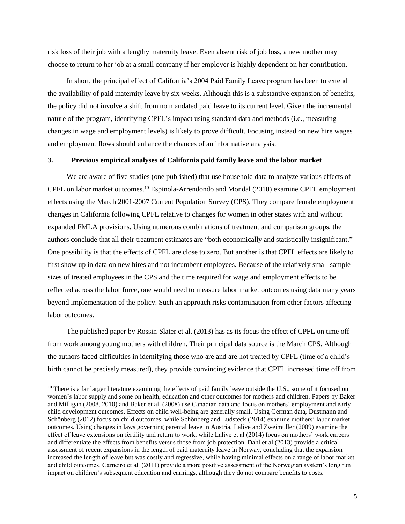risk loss of their job with a lengthy maternity leave. Even absent risk of job loss, a new mother may choose to return to her job at a small company if her employer is highly dependent on her contribution.

In short, the principal effect of California's 2004 Paid Family Leave program has been to extend the availability of paid maternity leave by six weeks. Although this is a substantive expansion of benefits, the policy did not involve a shift from no mandated paid leave to its current level. Given the incremental nature of the program, identifying CPFL's impact using standard data and methods (i.e., measuring changes in wage and employment levels) is likely to prove difficult. Focusing instead on new hire wages and employment flows should enhance the chances of an informative analysis.

### **3. Previous empirical analyses of California paid family leave and the labor market**

We are aware of five studies (one published) that use household data to analyze various effects of CPFL on labor market outcomes. <sup>10</sup> Espinola-Arrendondo and Mondal (2010) examine CPFL employment effects using the March 2001-2007 Current Population Survey (CPS). They compare female employment changes in California following CPFL relative to changes for women in other states with and without expanded FMLA provisions. Using numerous combinations of treatment and comparison groups, the authors conclude that all their treatment estimates are "both economically and statistically insignificant." One possibility is that the effects of CPFL are close to zero. But another is that CPFL effects are likely to first show up in data on new hires and not incumbent employees. Because of the relatively small sample sizes of treated employees in the CPS and the time required for wage and employment effects to be reflected across the labor force, one would need to measure labor market outcomes using data many years beyond implementation of the policy. Such an approach risks contamination from other factors affecting labor outcomes.

The published paper by Rossin-Slater et al. (2013) has as its focus the effect of CPFL on time off from work among young mothers with children. Their principal data source is the March CPS. Although the authors faced difficulties in identifying those who are and are not treated by CPFL (time of a child's birth cannot be precisely measured), they provide convincing evidence that CPFL increased time off from

 $10$  There is a far larger literature examining the effects of paid family leave outside the U.S., some of it focused on women's labor supply and some on health, education and other outcomes for mothers and children. Papers by Baker and Milligan (2008, 2010) and Baker et al. (2008) use Canadian data and focus on mothers' employment and early child development outcomes. Effects on child well-being are generally small. Using German data, Dustmann and Schönberg (2012) focus on child outcomes, while Schönberg and Ludsteck (2014) examine mothers' labor market outcomes. Using changes in laws governing parental leave in Austria, Lalive and Zweimüller (2009) examine the effect of leave extensions on fertility and return to work, while Lalive et al (2014) focus on mothers' work careers and differentiate the effects from benefits versus those from job protection. Dahl et al (2013) provide a critical assessment of recent expansions in the length of paid maternity leave in Norway, concluding that the expansion increased the length of leave but was costly and regressive, while having minimal effects on a range of labor market and child outcomes. Carneiro et al. (2011) provide a more positive assessment of the Norwegian system's long run impact on children's subsequent education and earnings, although they do not compare benefits to costs.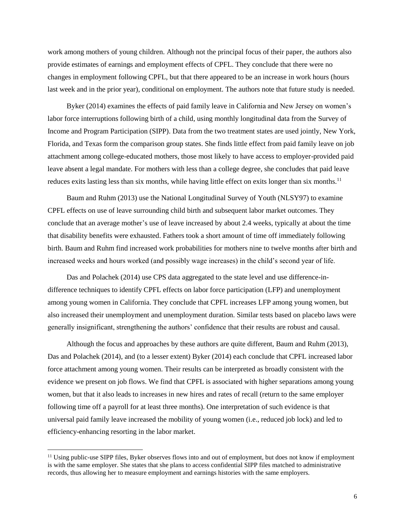work among mothers of young children. Although not the principal focus of their paper, the authors also provide estimates of earnings and employment effects of CPFL. They conclude that there were no changes in employment following CPFL, but that there appeared to be an increase in work hours (hours last week and in the prior year), conditional on employment. The authors note that future study is needed.

Byker (2014) examines the effects of paid family leave in California and New Jersey on women's labor force interruptions following birth of a child, using monthly longitudinal data from the Survey of Income and Program Participation (SIPP). Data from the two treatment states are used jointly, New York, Florida, and Texas form the comparison group states. She finds little effect from paid family leave on job attachment among college-educated mothers, those most likely to have access to employer-provided paid leave absent a legal mandate. For mothers with less than a college degree, she concludes that paid leave reduces exits lasting less than six months, while having little effect on exits longer than six months.<sup>11</sup>

Baum and Ruhm (2013) use the National Longitudinal Survey of Youth (NLSY97) to examine CPFL effects on use of leave surrounding child birth and subsequent labor market outcomes. They conclude that an average mother's use of leave increased by about 2.4 weeks, typically at about the time that disability benefits were exhausted. Fathers took a short amount of time off immediately following birth. Baum and Ruhm find increased work probabilities for mothers nine to twelve months after birth and increased weeks and hours worked (and possibly wage increases) in the child's second year of life.

Das and Polachek (2014) use CPS data aggregated to the state level and use difference-indifference techniques to identify CPFL effects on labor force participation (LFP) and unemployment among young women in California. They conclude that CPFL increases LFP among young women, but also increased their unemployment and unemployment duration. Similar tests based on placebo laws were generally insignificant, strengthening the authors' confidence that their results are robust and causal.

Although the focus and approaches by these authors are quite different, Baum and Ruhm (2013), Das and Polachek (2014), and (to a lesser extent) Byker (2014) each conclude that CPFL increased labor force attachment among young women. Their results can be interpreted as broadly consistent with the evidence we present on job flows. We find that CPFL is associated with higher separations among young women, but that it also leads to increases in new hires and rates of recall (return to the same employer following time off a payroll for at least three months). One interpretation of such evidence is that universal paid family leave increased the mobility of young women (i.e., reduced job lock) and led to efficiency-enhancing resorting in the labor market.

<sup>&</sup>lt;sup>11</sup> Using public-use SIPP files, Byker observes flows into and out of employment, but does not know if employment is with the same employer. She states that she plans to access confidential SIPP files matched to administrative records, thus allowing her to measure employment and earnings histories with the same employers.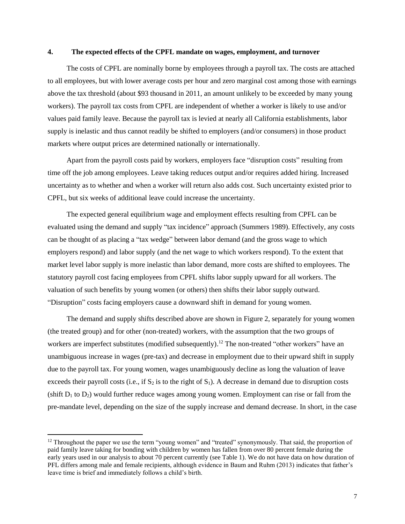#### **4. The expected effects of the CPFL mandate on wages, employment, and turnover**

The costs of CPFL are nominally borne by employees through a payroll tax. The costs are attached to all employees, but with lower average costs per hour and zero marginal cost among those with earnings above the tax threshold (about \$93 thousand in 2011, an amount unlikely to be exceeded by many young workers). The payroll tax costs from CPFL are independent of whether a worker is likely to use and/or values paid family leave. Because the payroll tax is levied at nearly all California establishments, labor supply is inelastic and thus cannot readily be shifted to employers (and/or consumers) in those product markets where output prices are determined nationally or internationally.

Apart from the payroll costs paid by workers, employers face "disruption costs" resulting from time off the job among employees. Leave taking reduces output and/or requires added hiring. Increased uncertainty as to whether and when a worker will return also adds cost. Such uncertainty existed prior to CPFL, but six weeks of additional leave could increase the uncertainty.

The expected general equilibrium wage and employment effects resulting from CPFL can be evaluated using the demand and supply "tax incidence" approach (Summers 1989). Effectively, any costs can be thought of as placing a "tax wedge" between labor demand (and the gross wage to which employers respond) and labor supply (and the net wage to which workers respond). To the extent that market level labor supply is more inelastic than labor demand, more costs are shifted to employees. The statutory payroll cost facing employees from CPFL shifts labor supply upward for all workers. The valuation of such benefits by young women (or others) then shifts their labor supply outward. "Disruption" costs facing employers cause a downward shift in demand for young women.

The demand and supply shifts described above are shown in Figure 2, separately for young women (the treated group) and for other (non-treated) workers, with the assumption that the two groups of workers are imperfect substitutes (modified subsequently).<sup>12</sup> The non-treated "other workers" have an unambiguous increase in wages (pre-tax) and decrease in employment due to their upward shift in supply due to the payroll tax. For young women, wages unambiguously decline as long the valuation of leave exceeds their payroll costs (i.e., if  $S_2$  is to the right of  $S_1$ ). A decrease in demand due to disruption costs (shift  $D_1$  to  $D_2$ ) would further reduce wages among young women. Employment can rise or fall from the pre-mandate level, depending on the size of the supply increase and demand decrease. In short, in the case

<sup>&</sup>lt;sup>12</sup> Throughout the paper we use the term "young women" and "treated" synonymously. That said, the proportion of paid family leave taking for bonding with children by women has fallen from over 80 percent female during the early years used in our analysis to about 70 percent currently (see Table 1). We do not have data on how duration of PFL differs among male and female recipients, although evidence in Baum and Ruhm (2013) indicates that father's leave time is brief and immediately follows a child's birth.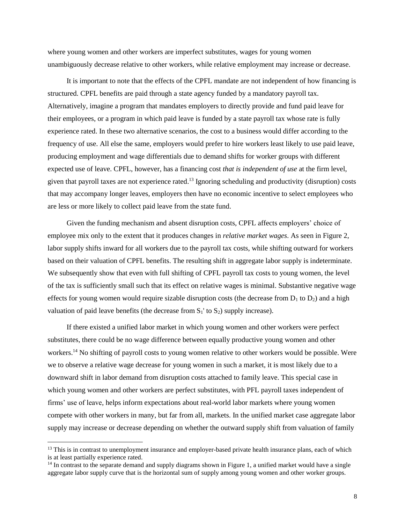where young women and other workers are imperfect substitutes, wages for young women unambiguously decrease relative to other workers, while relative employment may increase or decrease.

It is important to note that the effects of the CPFL mandate are not independent of how financing is structured. CPFL benefits are paid through a state agency funded by a mandatory payroll tax. Alternatively, imagine a program that mandates employers to directly provide and fund paid leave for their employees, or a program in which paid leave is funded by a state payroll tax whose rate is fully experience rated. In these two alternative scenarios, the cost to a business would differ according to the frequency of use. All else the same, employers would prefer to hire workers least likely to use paid leave, producing employment and wage differentials due to demand shifts for worker groups with different expected use of leave. CPFL, however, has a financing cost *that is independent of use* at the firm level, given that payroll taxes are not experience rated. <sup>13</sup> Ignoring scheduling and productivity (disruption) costs that may accompany longer leaves, employers then have no economic incentive to select employees who are less or more likely to collect paid leave from the state fund.

Given the funding mechanism and absent disruption costs, CPFL affects employers' choice of employee mix only to the extent that it produces changes in *relative market wages*. As seen in Figure 2, labor supply shifts inward for all workers due to the payroll tax costs, while shifting outward for workers based on their valuation of CPFL benefits. The resulting shift in aggregate labor supply is indeterminate. We subsequently show that even with full shifting of CPFL payroll tax costs to young women, the level of the tax is sufficiently small such that its effect on relative wages is minimal. Substantive negative wage effects for young women would require sizable disruption costs (the decrease from  $D_1$  to  $D_2$ ) and a high valuation of paid leave benefits (the decrease from  $S_1'$  to  $S_2$ ) supply increase).

If there existed a unified labor market in which young women and other workers were perfect substitutes, there could be no wage difference between equally productive young women and other workers.<sup>14</sup> No shifting of payroll costs to young women relative to other workers would be possible. Were we to observe a relative wage decrease for young women in such a market, it is most likely due to a downward shift in labor demand from disruption costs attached to family leave. This special case in which young women and other workers are perfect substitutes, with PFL payroll taxes independent of firms' use of leave, helps inform expectations about real-world labor markets where young women compete with other workers in many, but far from all, markets. In the unified market case aggregate labor supply may increase or decrease depending on whether the outward supply shift from valuation of family

<sup>&</sup>lt;sup>13</sup> This is in contrast to unemployment insurance and employer-based private health insurance plans, each of which is at least partially experience rated.

 $14$  In contrast to the separate demand and supply diagrams shown in Figure 1, a unified market would have a single aggregate labor supply curve that is the horizontal sum of supply among young women and other worker groups.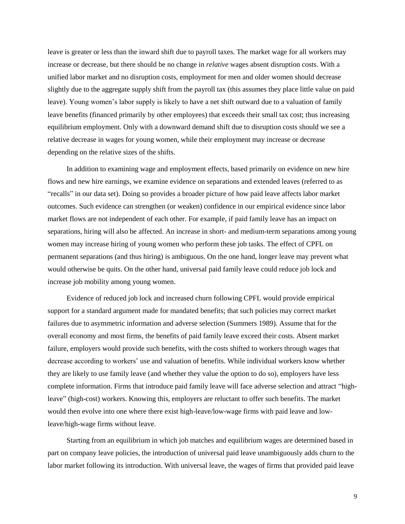leave is greater or less than the inward shift due to payroll taxes. The market wage for all workers may increase or decrease, but there should be no change in *relative* wages absent disruption costs. With a unified labor market and no disruption costs, employment for men and older women should decrease slightly due to the aggregate supply shift from the payroll tax (this assumes they place little value on paid leave). Young women's labor supply is likely to have a net shift outward due to a valuation of family leave benefits (financed primarily by other employees) that exceeds their small tax cost; thus increasing equilibrium employment. Only with a downward demand shift due to disruption costs should we see a relative decrease in wages for young women, while their employment may increase or decrease depending on the relative sizes of the shifts.

In addition to examining wage and employment effects, based primarily on evidence on new hire flows and new hire earnings, we examine evidence on separations and extended leaves (referred to as "recalls" in our data set). Doing so provides a broader picture of how paid leave affects labor market outcomes. Such evidence can strengthen (or weaken) confidence in our empirical evidence since labor market flows are not independent of each other. For example, if paid family leave has an impact on separations, hiring will also be affected. An increase in short- and medium-term separations among young women may increase hiring of young women who perform these job tasks. The effect of CPFL on permanent separations (and thus hiring) is ambiguous. On the one hand, longer leave may prevent what would otherwise be quits. On the other hand, universal paid family leave could reduce job lock and increase job mobility among young women.

Evidence of reduced job lock and increased churn following CPFL would provide empirical support for a standard argument made for mandated benefits; that such policies may correct market failures due to asymmetric information and adverse selection (Summers 1989). Assume that for the overall economy and most firms, the benefits of paid family leave exceed their costs. Absent market failure, employers would provide such benefits, with the costs shifted to workers through wages that decrease according to workers' use and valuation of benefits. While individual workers know whether they are likely to use family leave (and whether they value the option to do so), employers have less complete information. Firms that introduce paid family leave will face adverse selection and attract "highleave" (high-cost) workers. Knowing this, employers are reluctant to offer such benefits. The market would then evolve into one where there exist high-leave/low-wage firms with paid leave and lowleave/high-wage firms without leave.

Starting from an equilibrium in which job matches and equilibrium wages are determined based in part on company leave policies, the introduction of universal paid leave unambiguously adds churn to the labor market following its introduction. With universal leave, the wages of firms that provided paid leave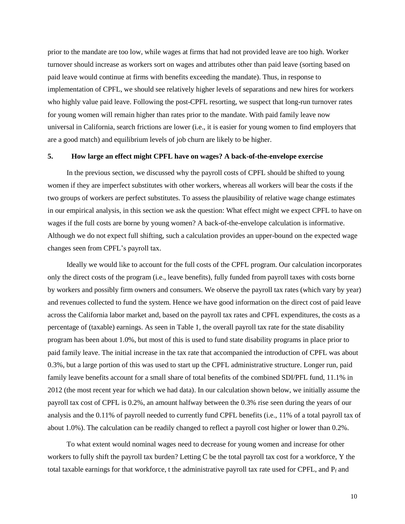prior to the mandate are too low, while wages at firms that had not provided leave are too high. Worker turnover should increase as workers sort on wages and attributes other than paid leave (sorting based on paid leave would continue at firms with benefits exceeding the mandate). Thus, in response to implementation of CPFL, we should see relatively higher levels of separations and new hires for workers who highly value paid leave. Following the post-CPFL resorting, we suspect that long-run turnover rates for young women will remain higher than rates prior to the mandate. With paid family leave now universal in California, search frictions are lower (i.e., it is easier for young women to find employers that are a good match) and equilibrium levels of job churn are likely to be higher.

#### **5. How large an effect might CPFL have on wages? A back-of-the-envelope exercise**

In the previous section, we discussed why the payroll costs of CPFL should be shifted to young women if they are imperfect substitutes with other workers, whereas all workers will bear the costs if the two groups of workers are perfect substitutes. To assess the plausibility of relative wage change estimates in our empirical analysis, in this section we ask the question: What effect might we expect CPFL to have on wages if the full costs are borne by young women? A back-of-the-envelope calculation is informative. Although we do not expect full shifting, such a calculation provides an upper-bound on the expected wage changes seen from CPFL's payroll tax.

Ideally we would like to account for the full costs of the CPFL program. Our calculation incorporates only the direct costs of the program (i.e., leave benefits), fully funded from payroll taxes with costs borne by workers and possibly firm owners and consumers. We observe the payroll tax rates (which vary by year) and revenues collected to fund the system. Hence we have good information on the direct cost of paid leave across the California labor market and, based on the payroll tax rates and CPFL expenditures, the costs as a percentage of (taxable) earnings. As seen in Table 1, the overall payroll tax rate for the state disability program has been about 1.0%, but most of this is used to fund state disability programs in place prior to paid family leave. The initial increase in the tax rate that accompanied the introduction of CPFL was about 0.3%, but a large portion of this was used to start up the CPFL administrative structure. Longer run, paid family leave benefits account for a small share of total benefits of the combined SDI/PFL fund, 11.1% in 2012 (the most recent year for which we had data). In our calculation shown below, we initially assume the payroll tax cost of CPFL is 0.2%, an amount halfway between the 0.3% rise seen during the years of our analysis and the 0.11% of payroll needed to currently fund CPFL benefits (i.e., 11% of a total payroll tax of about 1.0%). The calculation can be readily changed to reflect a payroll cost higher or lower than 0.2%.

To what extent would nominal wages need to decrease for young women and increase for other workers to fully shift the payroll tax burden? Letting C be the total payroll tax cost for a workforce, Y the total taxable earnings for that workforce, t the administrative payroll tax rate used for CPFL, and  $P_f$  and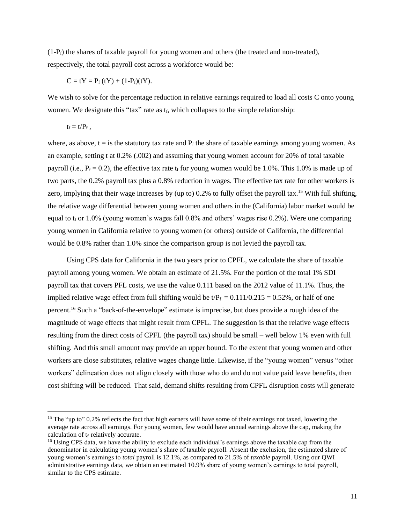$(1-P_f)$  the shares of taxable payroll for young women and others (the treated and non-treated), respectively, the total payroll cost across a workforce would be:

$$
C = tY = P_f(tY) + (1-P_f)(tY).
$$

We wish to solve for the percentage reduction in relative earnings required to load all costs C onto young women. We designate this "tax" rate as  $t_f$ , which collapses to the simple relationship:

$$
t_f=t/P_f\ ,
$$

 $\overline{a}$ 

where, as above,  $t =$  is the statutory tax rate and  $P_f$  the share of taxable earnings among young women. As an example, setting t at 0.2% (.002) and assuming that young women account for 20% of total taxable payroll (i.e.,  $P_f = 0.2$ ), the effective tax rate  $t_f$  for young women would be 1.0%. This 1.0% is made up of two parts, the 0.2% payroll tax plus a 0.8% reduction in wages. The effective tax rate for other workers is zero, implying that their wage increases by (up to)  $0.2\%$  to fully offset the payroll tax.<sup>15</sup> With full shifting, the relative wage differential between young women and others in the (California) labor market would be equal to  $t_f$  or 1.0% (young women's wages fall 0.8% and others' wages rise 0.2%). Were one comparing young women in California relative to young women (or others) outside of California, the differential would be 0.8% rather than 1.0% since the comparison group is not levied the payroll tax.

Using CPS data for California in the two years prior to CPFL, we calculate the share of taxable payroll among young women. We obtain an estimate of 21.5%. For the portion of the total 1% SDI payroll tax that covers PFL costs, we use the value 0.111 based on the 2012 value of 11.1%. Thus, the implied relative wage effect from full shifting would be  $t/P_f = 0.111/0.215 = 0.52\%$ , or half of one percent. <sup>16</sup> Such a "back-of-the-envelope" estimate is imprecise, but does provide a rough idea of the magnitude of wage effects that might result from CPFL. The suggestion is that the relative wage effects resulting from the direct costs of CPFL (the payroll tax) should be small – well below 1% even with full shifting. And this small amount may provide an upper bound. To the extent that young women and other workers are close substitutes, relative wages change little. Likewise, if the "young women" versus "other workers" delineation does not align closely with those who do and do not value paid leave benefits, then cost shifting will be reduced. That said, demand shifts resulting from CPFL disruption costs will generate

<sup>&</sup>lt;sup>15</sup> The "up to" 0.2% reflects the fact that high earners will have some of their earnings not taxed, lowering the average rate across all earnings. For young women, few would have annual earnings above the cap, making the calculation of  $t_f$  relatively accurate.

<sup>&</sup>lt;sup>16</sup> Using CPS data, we have the ability to exclude each individual's earnings above the taxable cap from the denominator in calculating young women's share of taxable payroll. Absent the exclusion, the estimated share of young women's earnings to *total* payroll is 12.1%, as compared to 21.5% of *taxable* payroll. Using our QWI administrative earnings data, we obtain an estimated 10.9% share of young women's earnings to total payroll, similar to the CPS estimate.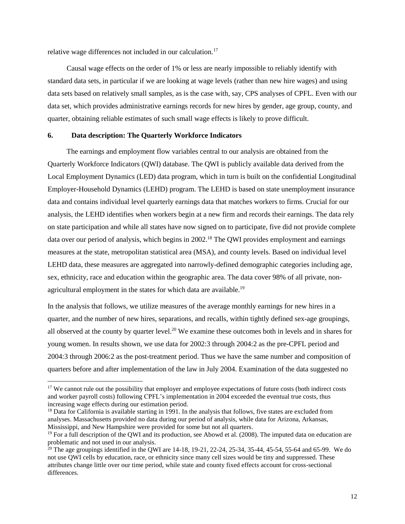relative wage differences not included in our calculation.<sup>17</sup>

Causal wage effects on the order of 1% or less are nearly impossible to reliably identify with standard data sets, in particular if we are looking at wage levels (rather than new hire wages) and using data sets based on relatively small samples, as is the case with, say, CPS analyses of CPFL. Even with our data set, which provides administrative earnings records for new hires by gender, age group, county, and quarter, obtaining reliable estimates of such small wage effects is likely to prove difficult.

#### **6. Data description: The Quarterly Workforce Indicators**

 $\overline{a}$ 

The earnings and employment flow variables central to our analysis are obtained from the Quarterly Workforce Indicators (QWI) database. The QWI is publicly available data derived from the Local Employment Dynamics (LED) data program, which in turn is built on the confidential Longitudinal Employer-Household Dynamics (LEHD) program. The LEHD is based on state unemployment insurance data and contains individual level quarterly earnings data that matches workers to firms. Crucial for our analysis, the LEHD identifies when workers begin at a new firm and records their earnings. The data rely on state participation and while all states have now signed on to participate, five did not provide complete data over our period of analysis, which begins in 2002.<sup>18</sup> The QWI provides employment and earnings measures at the state, metropolitan statistical area (MSA), and county levels. Based on individual level LEHD data, these measures are aggregated into narrowly-defined demographic categories including age, sex, ethnicity, race and education within the geographic area. The data cover 98% of all private, nonagricultural employment in the states for which data are available.<sup>19</sup>

In the analysis that follows, we utilize measures of the average monthly earnings for new hires in a quarter, and the number of new hires, separations, and recalls, within tightly defined sex-age groupings, all observed at the county by quarter level.<sup>20</sup> We examine these outcomes both in levels and in shares for young women. In results shown, we use data for 2002:3 through 2004:2 as the pre-CPFL period and 2004:3 through 2006:2 as the post-treatment period. Thus we have the same number and composition of quarters before and after implementation of the law in July 2004. Examination of the data suggested no

<sup>&</sup>lt;sup>17</sup> We cannot rule out the possibility that employer and employee expectations of future costs (both indirect costs and worker payroll costs) following CPFL's implementation in 2004 exceeded the eventual true costs, thus increasing wage effects during our estimation period.

<sup>&</sup>lt;sup>18</sup> Data for California is available starting in 1991. In the analysis that follows, five states are excluded from analyses. Massachusetts provided no data during our period of analysis, while data for Arizona, Arkansas, Mississippi, and New Hampshire were provided for some but not all quarters.

 $19$  For a full description of the QWI and its production, see Abowd et al. (2008). The imputed data on education are problematic and not used in our analysis.

 $^{20}$  The age groupings identified in the QWI are 14-18, 19-21, 22-24, 25-34, 35-44, 45-54, 55-64 and 65-99. We do not use QWI cells by education, race, or ethnicity since many cell sizes would be tiny and suppressed. These attributes change little over our time period, while state and county fixed effects account for cross-sectional differences.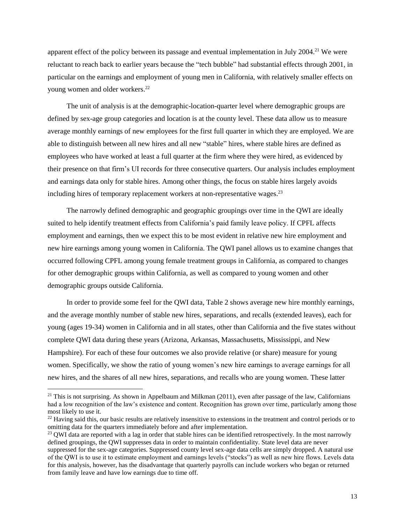apparent effect of the policy between its passage and eventual implementation in July 2004.<sup>21</sup> We were reluctant to reach back to earlier years because the "tech bubble" had substantial effects through 2001, in particular on the earnings and employment of young men in California, with relatively smaller effects on young women and older workers.<sup>22</sup>

The unit of analysis is at the demographic-location-quarter level where demographic groups are defined by sex-age group categories and location is at the county level. These data allow us to measure average monthly earnings of new employees for the first full quarter in which they are employed. We are able to distinguish between all new hires and all new "stable" hires, where stable hires are defined as employees who have worked at least a full quarter at the firm where they were hired, as evidenced by their presence on that firm's UI records for three consecutive quarters. Our analysis includes employment and earnings data only for stable hires. Among other things, the focus on stable hires largely avoids including hires of temporary replacement workers at non-representative wages.<sup>23</sup>

The narrowly defined demographic and geographic groupings over time in the QWI are ideally suited to help identify treatment effects from California's paid family leave policy. If CPFL affects employment and earnings, then we expect this to be most evident in relative new hire employment and new hire earnings among young women in California. The QWI panel allows us to examine changes that occurred following CPFL among young female treatment groups in California, as compared to changes for other demographic groups within California, as well as compared to young women and other demographic groups outside California.

In order to provide some feel for the QWI data, Table 2 shows average new hire monthly earnings, and the average monthly number of stable new hires, separations, and recalls (extended leaves), each for young (ages 19-34) women in California and in all states, other than California and the five states without complete QWI data during these years (Arizona, Arkansas, Massachusetts, Mississippi, and New Hampshire). For each of these four outcomes we also provide relative (or share) measure for young women. Specifically, we show the ratio of young women's new hire earnings to average earnings for all new hires, and the shares of all new hires, separations, and recalls who are young women. These latter

<sup>&</sup>lt;sup>21</sup> This is not surprising. As shown in Appelbaum and Milkman (2011), even after passage of the law, Californians had a low recognition of the law's existence and content. Recognition has grown over time, particularly among those most likely to use it.

<sup>&</sup>lt;sup>22</sup> Having said this, our basic results are relatively insensitive to extensions in the treatment and control periods or to omitting data for the quarters immediately before and after implementation.

<sup>&</sup>lt;sup>23</sup> QWI data are reported with a lag in order that stable hires can be identified retrospectively. In the most narrowly defined groupings, the QWI suppresses data in order to maintain confidentiality. State level data are never suppressed for the sex-age categories. Suppressed county level sex-age data cells are simply dropped. A natural use of the QWI is to use it to estimate employment and earnings levels ("stocks") as well as new hire flows. Levels data for this analysis, however, has the disadvantage that quarterly payrolls can include workers who began or returned from family leave and have low earnings due to time off.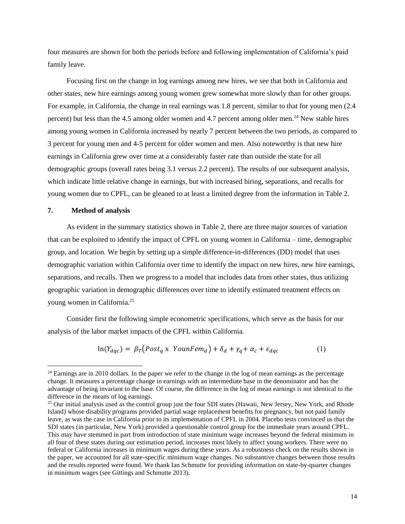four measures are shown for both the periods before and following implementation of California's paid family leave.

Focusing first on the change in log earnings among new hires, we see that both in California and other states, new hire earnings among young women grew somewhat more slowly than for other groups. For example, in California, the change in real earnings was 1.8 percent, similar to that for young men (2.4 percent) but less than the 4.5 among older women and 4.7 percent among older men.<sup>24</sup> New stable hires among young women in California increased by nearly 7 percent between the two periods, as compared to 3 percent for young men and 4-5 percent for older women and men. Also noteworthy is that new hire earnings in California grew over time at a considerably faster rate than outside the state for all demographic groups (overall rates being 3.1 versus 2.2 percent). The results of our subsequent analysis, which indicate little relative change in earnings, but with increased hiring, separations, and recalls for young women due to CPFL, can be gleaned to at least a limited degree from the information in Table 2.

#### **7. Method of analysis**

 $\overline{a}$ 

As evident in the summary statistics shown in Table 2, there are three major sources of variation that can be exploited to identify the impact of CPFL on young women in California – time, demographic group, and location. We begin by setting up a simple difference-in-differences (DD) model that uses demographic variation within California over time to identify the impact on new hires, new hire earnings, separations, and recalls. Then we progress to a model that includes data from other states, thus utilizing geographic variation in demographic differences over time to identify estimated treatment effects on young women in California. 25

Consider first the following simple econometric specifications, which serve as the basis for our analysis of the labor market impacts of the CPFL within California.

$$
\ln(Y_{dqc}) = \beta_T \left( Post_q \times \text{YoungFem}_d \right) + \delta_d + \gamma_q + \alpha_c + \epsilon_{dqc} \tag{1}
$$

 $24$  Earnings are in 2010 dollars. In the paper we refer to the change in the log of mean earnings as the percentage change. It measures a percentage change in earnings with an intermediate base in the denominator and has the advantage of being invariant to the base. Of course, the difference in the log of mean earnings is not identical to the difference in the means of log earnings.

<sup>&</sup>lt;sup>25</sup> Our initial analysis used as the control group just the four SDI states (Hawaii, New Jersey, New York, and Rhode Island) whose disability programs provided partial wage replacement benefits for pregnancy, but not paid family leave, as was the case in California prior to its implementation of CPFL in 2004. Placebo tests convinced us that the SDI states (in particular, New York) provided a questionable control group for the immediate years around CPFL. This may have stemmed in part from introduction of state minimum wage increases beyond the federal minimum in all four of these states during our estimation period, increases most likely to affect young workers. There were no federal or California increases in minimum wages during these years. As a robustness check on the results shown in the paper, we accounted for all state-specific minimum wage changes. No substantive changes between those results and the results reported were found. We thank Ian Schmutte for providing information on state-by-quarter changes in minimum wages (see Gittings and Schmutte 2013).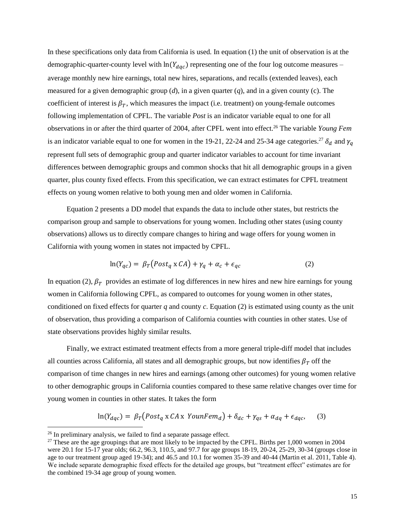In these specifications only data from California is used. In equation (1) the unit of observation is at the demographic-quarter-county level with  $ln(Y_{dqc})$  representing one of the four log outcome measures – average monthly new hire earnings, total new hires, separations, and recalls (extended leaves), each measured for a given demographic group  $(d)$ , in a given quarter  $(q)$ , and in a given county  $(c)$ . The coefficient of interest is  $\beta_T$ , which measures the impact (i.e. treatment) on young-female outcomes following implementation of CPFL. The variable *Post* is an indicator variable equal to one for all observations in or after the third quarter of 2004, after CPFL went into effect.<sup>26</sup> The variable *Young Fem* is an indicator variable equal to one for women in the 19-21, 22-24 and 25-34 age categories.<sup>27</sup>  $\delta_d$  and  $\gamma_q$ represent full sets of demographic group and quarter indicator variables to account for time invariant differences between demographic groups and common shocks that hit all demographic groups in a given quarter, plus county fixed effects. From this specification, we can extract estimates for CPFL treatment effects on young women relative to both young men and older women in California.

Equation 2 presents a DD model that expands the data to include other states, but restricts the comparison group and sample to observations for young women. Including other states (using county observations) allows us to directly compare changes to hiring and wage offers for young women in California with young women in states not impacted by CPFL.

$$
\ln(Y_{qc}) = \beta_T \left( Post_q \times CA \right) + \gamma_q + \alpha_c + \epsilon_{qc} \tag{2}
$$

In equation (2),  $\beta_T$  provides an estimate of log differences in new hires and new hire earnings for young women in California following CPFL, as compared to outcomes for young women in other states, conditioned on fixed effects for quarter *q* and county *c*. Equation (2) is estimated using county as the unit of observation, thus providing a comparison of California counties with counties in other states. Use of state observations provides highly similar results.

Finally, we extract estimated treatment effects from a more general triple-diff model that includes all counties across California, all states and all demographic groups, but now identifies  $\beta_T$  off the comparison of time changes in new hires and earnings (among other outcomes) for young women relative to other demographic groups in California counties compared to these same relative changes over time for young women in counties in other states. It takes the form

$$
\ln(Y_{dqc}) = \beta_T \left( Post_q \times CA \times YoungFem_d \right) + \delta_{dc} + \gamma_{qs} + \alpha_{dq} + \epsilon_{dqc}, \tag{3}
$$

<sup>&</sup>lt;sup>26</sup> In preliminary analysis, we failed to find a separate passage effect.

<sup>&</sup>lt;sup>27</sup> These are the age groupings that are most likely to be impacted by the CPFL. Births per  $1,000$  women in 2004 were 20.1 for 15-17 year olds; 66.2, 96.3, 110.5, and 97.7 for age groups 18-19, 20-24, 25-29, 30-34 (groups close in age to our treatment group aged 19-34); and 46.5 and 10.1 for women 35-39 and 40-44 (Martin et al. 2011, Table 4). We include separate demographic fixed effects for the detailed age groups, but "treatment effect" estimates are for the combined 19-34 age group of young women.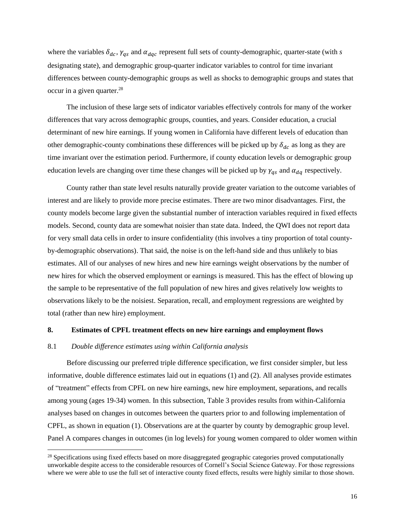where the variables  $\delta_{dc}$ ,  $\gamma_{as}$  and  $\alpha_{dac}$  represent full sets of county-demographic, quarter-state (with *s* designating state), and demographic group-quarter indicator variables to control for time invariant differences between county-demographic groups as well as shocks to demographic groups and states that occur in a given quarter. 28

The inclusion of these large sets of indicator variables effectively controls for many of the worker differences that vary across demographic groups, counties, and years. Consider education, a crucial determinant of new hire earnings. If young women in California have different levels of education than other demographic-county combinations these differences will be picked up by  $\delta_{dc}$  as long as they are time invariant over the estimation period. Furthermore, if county education levels or demographic group education levels are changing over time these changes will be picked up by  $\gamma_{qs}$  and  $\alpha_{dq}$  respectively.

County rather than state level results naturally provide greater variation to the outcome variables of interest and are likely to provide more precise estimates. There are two minor disadvantages. First, the county models become large given the substantial number of interaction variables required in fixed effects models. Second, county data are somewhat noisier than state data. Indeed, the QWI does not report data for very small data cells in order to insure confidentiality (this involves a tiny proportion of total countyby-demographic observations). That said, the noise is on the left-hand side and thus unlikely to bias estimates. All of our analyses of new hires and new hire earnings weight observations by the number of new hires for which the observed employment or earnings is measured. This has the effect of blowing up the sample to be representative of the full population of new hires and gives relatively low weights to observations likely to be the noisiest. Separation, recall, and employment regressions are weighted by total (rather than new hire) employment.

#### **8. Estimates of CPFL treatment effects on new hire earnings and employment flows**

#### 8.1 *Double difference estimates using within California analysis*

 $\overline{a}$ 

Before discussing our preferred triple difference specification, we first consider simpler, but less informative, double difference estimates laid out in equations (1) and (2). All analyses provide estimates of "treatment" effects from CPFL on new hire earnings, new hire employment, separations, and recalls among young (ages 19-34) women. In this subsection, Table 3 provides results from within-California analyses based on changes in outcomes between the quarters prior to and following implementation of CPFL, as shown in equation (1). Observations are at the quarter by county by demographic group level. Panel A compares changes in outcomes (in log levels) for young women compared to older women within

<sup>&</sup>lt;sup>28</sup> Specifications using fixed effects based on more disaggregated geographic categories proved computationally unworkable despite access to the considerable resources of Cornell's Social Science Gateway. For those regressions where we were able to use the full set of interactive county fixed effects, results were highly similar to those shown.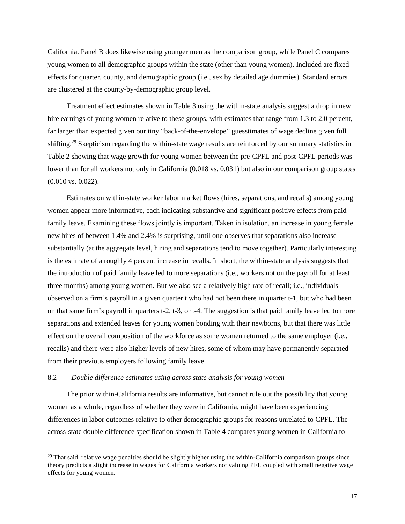California. Panel B does likewise using younger men as the comparison group, while Panel C compares young women to all demographic groups within the state (other than young women). Included are fixed effects for quarter, county, and demographic group (i.e., sex by detailed age dummies). Standard errors are clustered at the county-by-demographic group level.

Treatment effect estimates shown in Table 3 using the within-state analysis suggest a drop in new hire earnings of young women relative to these groups, with estimates that range from 1.3 to 2.0 percent, far larger than expected given our tiny "back-of-the-envelope" guesstimates of wage decline given full shifting.<sup>29</sup> Skepticism regarding the within-state wage results are reinforced by our summary statistics in Table 2 showing that wage growth for young women between the pre-CPFL and post-CPFL periods was lower than for all workers not only in California (0.018 vs. 0.031) but also in our comparison group states (0.010 vs. 0.022).

Estimates on within-state worker labor market flows (hires, separations, and recalls) among young women appear more informative, each indicating substantive and significant positive effects from paid family leave. Examining these flows jointly is important. Taken in isolation, an increase in young female new hires of between 1.4% and 2.4% is surprising, until one observes that separations also increase substantially (at the aggregate level, hiring and separations tend to move together). Particularly interesting is the estimate of a roughly 4 percent increase in recalls. In short, the within-state analysis suggests that the introduction of paid family leave led to more separations (i.e., workers not on the payroll for at least three months) among young women. But we also see a relatively high rate of recall; i.e., individuals observed on a firm's payroll in a given quarter t who had not been there in quarter t-1, but who had been on that same firm's payroll in quarters t-2, t-3, or t-4. The suggestion is that paid family leave led to more separations and extended leaves for young women bonding with their newborns, but that there was little effect on the overall composition of the workforce as some women returned to the same employer (i.e., recalls) and there were also higher levels of new hires, some of whom may have permanently separated from their previous employers following family leave.

#### 8.2 *Double difference estimates using across state analysis for young women*

 $\overline{a}$ 

The prior within-California results are informative, but cannot rule out the possibility that young women as a whole, regardless of whether they were in California, might have been experiencing differences in labor outcomes relative to other demographic groups for reasons unrelated to CPFL. The across-state double difference specification shown in Table 4 compares young women in California to

 $29$  That said, relative wage penalties should be slightly higher using the within-California comparison groups since theory predicts a slight increase in wages for California workers not valuing PFL coupled with small negative wage effects for young women.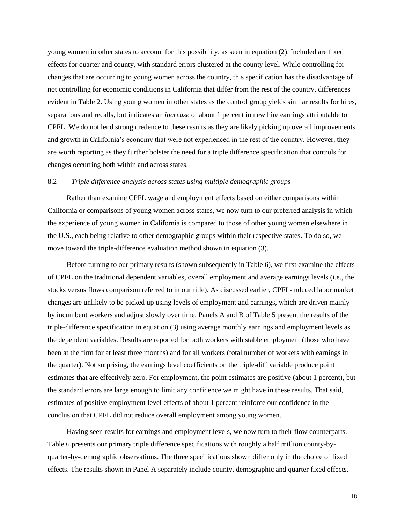young women in other states to account for this possibility, as seen in equation (2). Included are fixed effects for quarter and county, with standard errors clustered at the county level. While controlling for changes that are occurring to young women across the country, this specification has the disadvantage of not controlling for economic conditions in California that differ from the rest of the country, differences evident in Table 2. Using young women in other states as the control group yields similar results for hires, separations and recalls, but indicates an *increase* of about 1 percent in new hire earnings attributable to CPFL. We do not lend strong credence to these results as they are likely picking up overall improvements and growth in California's economy that were not experienced in the rest of the country. However, they are worth reporting as they further bolster the need for a triple difference specification that controls for changes occurring both within and across states.

#### 8.2 *Triple difference analysis across states using multiple demographic groups*

Rather than examine CPFL wage and employment effects based on either comparisons within California or comparisons of young women across states, we now turn to our preferred analysis in which the experience of young women in California is compared to those of other young women elsewhere in the U.S., each being relative to other demographic groups within their respective states. To do so, we move toward the triple-difference evaluation method shown in equation (3).

Before turning to our primary results (shown subsequently in Table 6), we first examine the effects of CPFL on the traditional dependent variables, overall employment and average earnings levels (i.e., the stocks versus flows comparison referred to in our title). As discussed earlier, CPFL-induced labor market changes are unlikely to be picked up using levels of employment and earnings, which are driven mainly by incumbent workers and adjust slowly over time. Panels A and B of Table 5 present the results of the triple-difference specification in equation (3) using average monthly earnings and employment levels as the dependent variables. Results are reported for both workers with stable employment (those who have been at the firm for at least three months) and for all workers (total number of workers with earnings in the quarter). Not surprising, the earnings level coefficients on the triple-diff variable produce point estimates that are effectively zero. For employment, the point estimates are positive (about 1 percent), but the standard errors are large enough to limit any confidence we might have in these results. That said, estimates of positive employment level effects of about 1 percent reinforce our confidence in the conclusion that CPFL did not reduce overall employment among young women.

Having seen results for earnings and employment levels, we now turn to their flow counterparts. Table 6 presents our primary triple difference specifications with roughly a half million county-byquarter-by-demographic observations. The three specifications shown differ only in the choice of fixed effects. The results shown in Panel A separately include county, demographic and quarter fixed effects.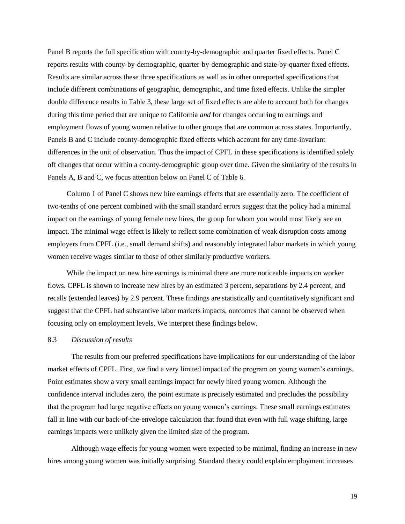Panel B reports the full specification with county-by-demographic and quarter fixed effects. Panel C reports results with county-by-demographic, quarter-by-demographic and state-by-quarter fixed effects. Results are similar across these three specifications as well as in other unreported specifications that include different combinations of geographic, demographic, and time fixed effects. Unlike the simpler double difference results in Table 3, these large set of fixed effects are able to account both for changes during this time period that are unique to California *and* for changes occurring to earnings and employment flows of young women relative to other groups that are common across states. Importantly, Panels B and C include county-demographic fixed effects which account for any time-invariant differences in the unit of observation. Thus the impact of CPFL in these specifications is identified solely off changes that occur within a county-demographic group over time. Given the similarity of the results in Panels A, B and C, we focus attention below on Panel C of Table 6.

Column 1 of Panel C shows new hire earnings effects that are essentially zero. The coefficient of two-tenths of one percent combined with the small standard errors suggest that the policy had a minimal impact on the earnings of young female new hires, the group for whom you would most likely see an impact. The minimal wage effect is likely to reflect some combination of weak disruption costs among employers from CPFL (i.e., small demand shifts) and reasonably integrated labor markets in which young women receive wages similar to those of other similarly productive workers.

While the impact on new hire earnings is minimal there are more noticeable impacts on worker flows. CPFL is shown to increase new hires by an estimated 3 percent, separations by 2.4 percent, and recalls (extended leaves) by 2.9 percent. These findings are statistically and quantitatively significant and suggest that the CPFL had substantive labor markets impacts, outcomes that cannot be observed when focusing only on employment levels. We interpret these findings below.

#### 8.3 *Discussion of results*

The results from our preferred specifications have implications for our understanding of the labor market effects of CPFL. First, we find a very limited impact of the program on young women's earnings. Point estimates show a very small earnings impact for newly hired young women. Although the confidence interval includes zero, the point estimate is precisely estimated and precludes the possibility that the program had large negative effects on young women's earnings. These small earnings estimates fall in line with our back-of-the-envelope calculation that found that even with full wage shifting, large earnings impacts were unlikely given the limited size of the program.

Although wage effects for young women were expected to be minimal, finding an increase in new hires among young women was initially surprising. Standard theory could explain employment increases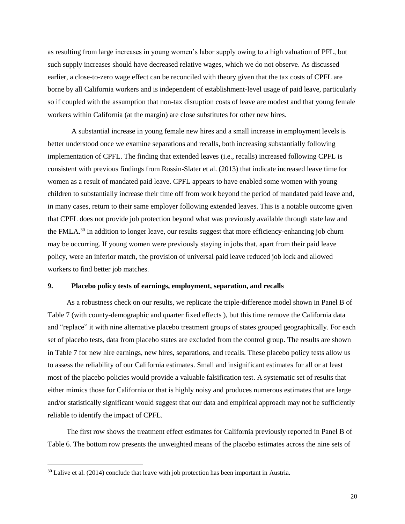as resulting from large increases in young women's labor supply owing to a high valuation of PFL, but such supply increases should have decreased relative wages, which we do not observe. As discussed earlier, a close-to-zero wage effect can be reconciled with theory given that the tax costs of CPFL are borne by all California workers and is independent of establishment-level usage of paid leave, particularly so if coupled with the assumption that non-tax disruption costs of leave are modest and that young female workers within California (at the margin) are close substitutes for other new hires.

A substantial increase in young female new hires and a small increase in employment levels is better understood once we examine separations and recalls, both increasing substantially following implementation of CPFL. The finding that extended leaves (i.e., recalls) increased following CPFL is consistent with previous findings from Rossin-Slater et al. (2013) that indicate increased leave time for women as a result of mandated paid leave. CPFL appears to have enabled some women with young children to substantially increase their time off from work beyond the period of mandated paid leave and, in many cases, return to their same employer following extended leaves. This is a notable outcome given that CPFL does not provide job protection beyond what was previously available through state law and the FMLA.<sup>30</sup> In addition to longer leave, our results suggest that more efficiency-enhancing job churn may be occurring. If young women were previously staying in jobs that, apart from their paid leave policy, were an inferior match, the provision of universal paid leave reduced job lock and allowed workers to find better job matches.

### **9. Placebo policy tests of earnings, employment, separation, and recalls**

As a robustness check on our results, we replicate the triple-difference model shown in Panel B of Table 7 (with county-demographic and quarter fixed effects ), but this time remove the California data and "replace" it with nine alternative placebo treatment groups of states grouped geographically. For each set of placebo tests, data from placebo states are excluded from the control group. The results are shown in Table 7 for new hire earnings, new hires, separations, and recalls. These placebo policy tests allow us to assess the reliability of our California estimates. Small and insignificant estimates for all or at least most of the placebo policies would provide a valuable falsification test. A systematic set of results that either mimics those for California or that is highly noisy and produces numerous estimates that are large and/or statistically significant would suggest that our data and empirical approach may not be sufficiently reliable to identify the impact of CPFL.

The first row shows the treatment effect estimates for California previously reported in Panel B of Table 6. The bottom row presents the unweighted means of the placebo estimates across the nine sets of

 $30$  Lalive et al. (2014) conclude that leave with job protection has been important in Austria.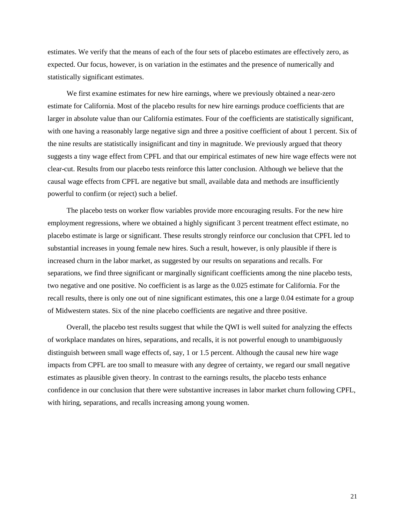estimates. We verify that the means of each of the four sets of placebo estimates are effectively zero, as expected. Our focus, however, is on variation in the estimates and the presence of numerically and statistically significant estimates.

We first examine estimates for new hire earnings, where we previously obtained a near-zero estimate for California. Most of the placebo results for new hire earnings produce coefficients that are larger in absolute value than our California estimates. Four of the coefficients are statistically significant, with one having a reasonably large negative sign and three a positive coefficient of about 1 percent. Six of the nine results are statistically insignificant and tiny in magnitude. We previously argued that theory suggests a tiny wage effect from CPFL and that our empirical estimates of new hire wage effects were not clear-cut. Results from our placebo tests reinforce this latter conclusion. Although we believe that the causal wage effects from CPFL are negative but small, available data and methods are insufficiently powerful to confirm (or reject) such a belief.

The placebo tests on worker flow variables provide more encouraging results. For the new hire employment regressions, where we obtained a highly significant 3 percent treatment effect estimate, no placebo estimate is large or significant. These results strongly reinforce our conclusion that CPFL led to substantial increases in young female new hires. Such a result, however, is only plausible if there is increased churn in the labor market, as suggested by our results on separations and recalls. For separations, we find three significant or marginally significant coefficients among the nine placebo tests, two negative and one positive. No coefficient is as large as the 0.025 estimate for California. For the recall results, there is only one out of nine significant estimates, this one a large 0.04 estimate for a group of Midwestern states. Six of the nine placebo coefficients are negative and three positive.

Overall, the placebo test results suggest that while the QWI is well suited for analyzing the effects of workplace mandates on hires, separations, and recalls, it is not powerful enough to unambiguously distinguish between small wage effects of, say, 1 or 1.5 percent. Although the causal new hire wage impacts from CPFL are too small to measure with any degree of certainty, we regard our small negative estimates as plausible given theory. In contrast to the earnings results, the placebo tests enhance confidence in our conclusion that there were substantive increases in labor market churn following CPFL, with hiring, separations, and recalls increasing among young women.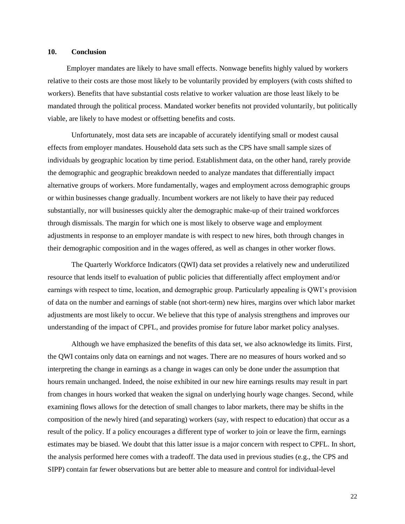#### **10. Conclusion**

Employer mandates are likely to have small effects. Nonwage benefits highly valued by workers relative to their costs are those most likely to be voluntarily provided by employers (with costs shifted to workers). Benefits that have substantial costs relative to worker valuation are those least likely to be mandated through the political process. Mandated worker benefits not provided voluntarily, but politically viable, are likely to have modest or offsetting benefits and costs.

Unfortunately, most data sets are incapable of accurately identifying small or modest causal effects from employer mandates. Household data sets such as the CPS have small sample sizes of individuals by geographic location by time period. Establishment data, on the other hand, rarely provide the demographic and geographic breakdown needed to analyze mandates that differentially impact alternative groups of workers. More fundamentally, wages and employment across demographic groups or within businesses change gradually. Incumbent workers are not likely to have their pay reduced substantially, nor will businesses quickly alter the demographic make-up of their trained workforces through dismissals. The margin for which one is most likely to observe wage and employment adjustments in response to an employer mandate is with respect to new hires, both through changes in their demographic composition and in the wages offered, as well as changes in other worker flows.

The Quarterly Workforce Indicators (QWI) data set provides a relatively new and underutilized resource that lends itself to evaluation of public policies that differentially affect employment and/or earnings with respect to time, location, and demographic group. Particularly appealing is QWI's provision of data on the number and earnings of stable (not short-term) new hires, margins over which labor market adjustments are most likely to occur. We believe that this type of analysis strengthens and improves our understanding of the impact of CPFL, and provides promise for future labor market policy analyses.

Although we have emphasized the benefits of this data set, we also acknowledge its limits. First, the QWI contains only data on earnings and not wages. There are no measures of hours worked and so interpreting the change in earnings as a change in wages can only be done under the assumption that hours remain unchanged. Indeed, the noise exhibited in our new hire earnings results may result in part from changes in hours worked that weaken the signal on underlying hourly wage changes. Second, while examining flows allows for the detection of small changes to labor markets, there may be shifts in the composition of the newly hired (and separating) workers (say, with respect to education) that occur as a result of the policy. If a policy encourages a different type of worker to join or leave the firm, earnings estimates may be biased. We doubt that this latter issue is a major concern with respect to CPFL. In short, the analysis performed here comes with a tradeoff. The data used in previous studies (e.g., the CPS and SIPP) contain far fewer observations but are better able to measure and control for individual-level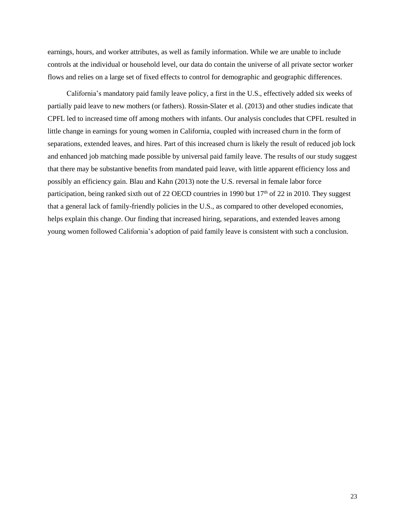earnings, hours, and worker attributes, as well as family information. While we are unable to include controls at the individual or household level, our data do contain the universe of all private sector worker flows and relies on a large set of fixed effects to control for demographic and geographic differences.

California's mandatory paid family leave policy, a first in the U.S., effectively added six weeks of partially paid leave to new mothers (or fathers). Rossin-Slater et al. (2013) and other studies indicate that CPFL led to increased time off among mothers with infants. Our analysis concludes that CPFL resulted in little change in earnings for young women in California, coupled with increased churn in the form of separations, extended leaves, and hires. Part of this increased churn is likely the result of reduced job lock and enhanced job matching made possible by universal paid family leave. The results of our study suggest that there may be substantive benefits from mandated paid leave, with little apparent efficiency loss and possibly an efficiency gain. Blau and Kahn (2013) note the U.S. reversal in female labor force participation, being ranked sixth out of 22 OECD countries in 1990 but  $17<sup>th</sup>$  of 22 in 2010. They suggest that a general lack of family-friendly policies in the U.S., as compared to other developed economies, helps explain this change. Our finding that increased hiring, separations, and extended leaves among young women followed California's adoption of paid family leave is consistent with such a conclusion.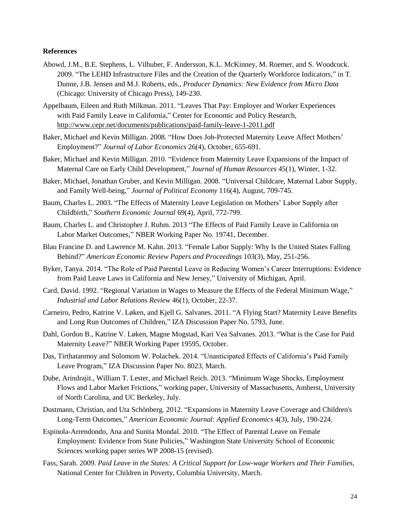#### **References**

- Abowd, J.M., B.E. Stephens, L. Vilhuber, F. Andersson, K.L. McKinney, M. Roemer, and S. Woodcock. 2009. "The LEHD Infrastructure Files and the Creation of the Quarterly Workforce Indicators," in T. Dunne, J.B. Jensen and M.J. Roberts, eds., *Producer Dynamics: New Evidence from Micro Data* (Chicago: University of Chicago Press), 149-230.
- Appelbaum, Eileen and Ruth Milkman. 2011. "Leaves That Pay: Employer and Worker Experiences with Paid Family Leave in California," Center for Economic and Policy Research, <http://www.cepr.net/documents/publications/paid-family-leave-1-2011.pdf>
- Baker, Michael and Kevin Milligan. 2008. "How Does Job-Protected Maternity Leave Affect Mothers' Employment?" *Journal of Labor Economics* 26(4), October, 655-691.
- Baker, Michael and Kevin Milligan. 2010. "Evidence from Maternity Leave Expansions of the Impact of Maternal Care on Early Child Development," *Journal of Human Resources* 45(1), Winter, 1-32.
- Baker, Michael, Jonathan Gruber, and Kevin Milligan. 2008. "Universal Childcare, Maternal Labor Supply, and Family Well-being," *Journal of Political Economy* 116(4), August, 709-745.
- Baum, Charles L. 2003. "The Effects of Maternity Leave Legislation on Mothers' Labor Supply after Childbirth," *Southern Economic Journal* 69(4), April, 772-799.
- Baum, Charles L. and Christopher J. Ruhm. 2013 "The Effects of Paid Family Leave in California on Labor Market Outcomes," NBER Working Paper No. 19741, December.
- Blau Francine D. and Lawrence M. Kahn. 2013. "Female Labor Supply: Why Is the United States Falling Behind?" *American Economic Review Papers and Proceedings* 103(3), May, 251-256.
- Byker, Tanya. 2014. "The Role of Paid Parental Leave in Reducing Women's Career Interruptions: Evidence from Paid Leave Laws in California and New Jersey," University of Michigan, April.
- Card, David. 1992. "Regional Variation in Wages to Measure the Effects of the Federal Minimum Wage," *Industrial and Labor Relations Review* 46(1), October, 22-37.
- Carneiro, Pedro, Katrine V. Løken, and Kjell G. Salvanes. 2011. "A Flying Start? Maternity Leave Benefits and Long Run Outcomes of Children," IZA Discussion Paper No. 5793, June.
- Dahl, Gordon B., Katrine V. Løken, Magne Mogstad, Kari Vea Salvanes. 2013. "What is the Case for Paid Maternity Leave?" NBER Working Paper 19595, October.
- Das, Tirthatanmoy and Solomom W. Polachek. 2014. "Unanticipated Effects of California's Paid Family Leave Program," IZA Discussion Paper No. 8023, March.
- Dube, Arindrajit., William T. Lester, and Michael Reich. 2013. "Minimum Wage Shocks, Employment Flows and Labor Market Frictions," working paper, University of Massachusetts, Amherst, University of North Carolina, and UC Berkeley, July.
- Dustmann, Christian, and Uta Schönberg. 2012. "Expansions in Maternity Leave Coverage and Children's Long-Term Outcomes," *American Economic Journal: Applied Economics* 4(3), July, 190-224.
- Espinola-Arrendondo, Ana and Sunita Mondal. 2010. "The Effect of Parental Leave on Female Employment: Evidence from State Policies," Washington State University School of Economic Sciences working paper series WP 2008-15 (revised).
- Fass, Sarah. 2009. *Paid Leave in the States: A Critical Support for Low-wage Workers and Their Families*, National Center for Children in Poverty, Columbia University, March.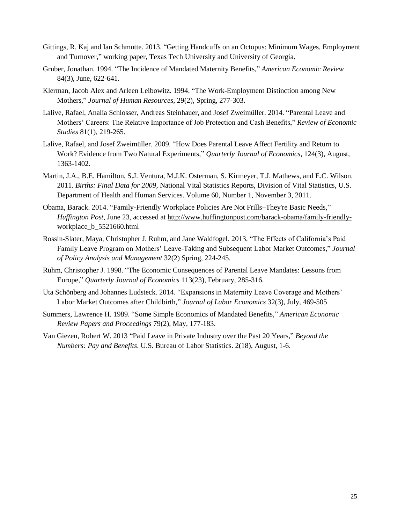- Gittings, R. Kaj and Ian Schmutte. 2013. "Getting Handcuffs on an Octopus: Minimum Wages, Employment and Turnover," working paper, Texas Tech University and University of Georgia.
- Gruber, Jonathan. 1994. "The Incidence of Mandated Maternity Benefits," *American Economic Review* 84(3), June, 622-641.
- Klerman, Jacob Alex and Arleen Leibowitz. 1994. "The Work-Employment Distinction among New Mothers," *Journal of Human Resources*, 29(2), Spring, 277-303.
- Lalive, Rafael, Analía Schlosser, Andreas Steinhauer, and Josef Zweimüller. 2014. "Parental Leave and Mothers' Careers: The Relative Importance of Job Protection and Cash Benefits," *Review of Economic Studies* 81(1), 219-265.
- Lalive, Rafael, and Josef Zweimüller. 2009. "How Does Parental Leave Affect Fertility and Return to Work? Evidence from Two Natural Experiments," *Quarterly Journal of Economics*, 124(3), August, 1363-1402.
- Martin, J.A., B.E. Hamilton, S.J. Ventura, M.J.K. Osterman, S. Kirmeyer, T.J. Mathews, and E.C. Wilson. 2011. *Births: Final Data for 2009*, National Vital Statistics Reports, Division of Vital Statistics, U.S. Department of Health and Human Services. Volume 60, Number 1, November 3, 2011.
- Obama, Barack. 2014. "Family-Friendly Workplace Policies Are Not Frills–They're Basic Needs," *Huffington Post*, June 23, accessed at [http://www.huffingtonpost.com/barack-obama/family-friendly](http://www.huffingtonpost.com/barack-obama/family-friendly-workplace_b_5521660.html)[workplace\\_b\\_5521660.html](http://www.huffingtonpost.com/barack-obama/family-friendly-workplace_b_5521660.html)
- Rossin-Slater, Maya, Christopher J. Ruhm, and Jane Waldfogel. 2013. "The Effects of California's Paid Family Leave Program on Mothers' Leave-Taking and Subsequent Labor Market Outcomes," *Journal of Policy Analysis and Management* 32(2) Spring, 224-245.
- Ruhm, Christopher J. 1998. "The Economic Consequences of Parental Leave Mandates: Lessons from Europe," *Quarterly Journal of Economics* 113(23), February, 285-316.
- Uta Schönberg and Johannes Ludsteck. 2014. "Expansions in Maternity Leave Coverage and Mothers' Labor Market Outcomes after Childbirth," *Journal of Labor Economics* 32(3), July, 469-505
- Summers, Lawrence H. 1989. "Some Simple Economics of Mandated Benefits," *American Economic Review Papers and Proceedings* 79(2), May, 177-183.
- Van Giezen, Robert W. 2013 "Paid Leave in Private Industry over the Past 20 Years," *Beyond the Numbers: Pay and Benefits*. U.S. Bureau of Labor Statistics. 2(18), August, 1-6.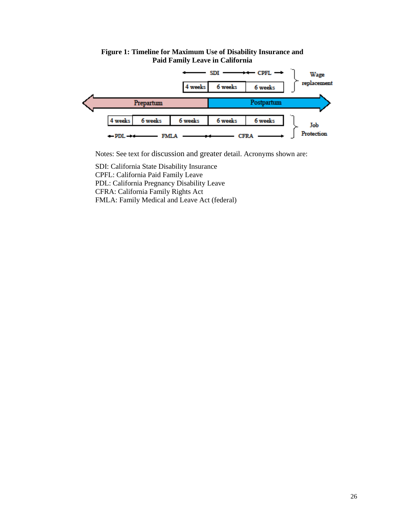



Notes: See text for discussion and greater detail. Acronyms shown are:

SDI: California State Disability Insurance CPFL: California Paid Family Leave PDL: California Pregnancy Disability Leave CFRA: California Family Rights Act FMLA: Family Medical and Leave Act (federal)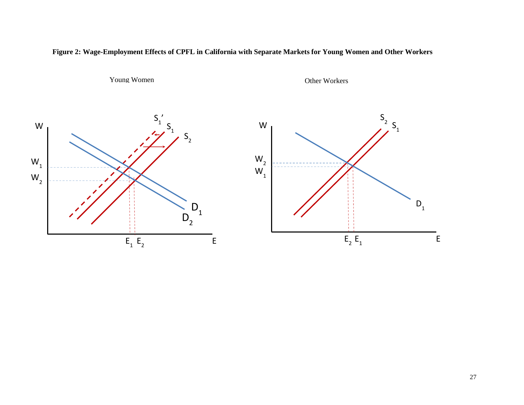

### **Figure 2: Wage-Employment Effects of CPFL in California with Separate Markets for Young Women and Other Workers**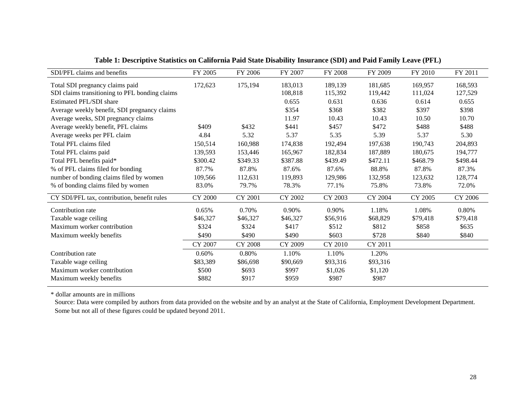| SDI/PFL claims and benefits                    | FY 2005        | FY 2006        | FY 2007        | FY 2008  | FY 2009  | FY 2010  | FY 2011  |
|------------------------------------------------|----------------|----------------|----------------|----------|----------|----------|----------|
| Total SDI pregnancy claims paid                | 172,623        | 175,194        | 183,013        | 189,139  | 181,685  | 169,957  | 168,593  |
| SDI claims transitioning to PFL bonding claims |                |                | 108,818        | 115,392  | 119,442  | 111,024  | 127,529  |
| Estimated PFL/SDI share                        |                |                | 0.655          | 0.631    | 0.636    | 0.614    | 0.655    |
| Average weekly benefit, SDI pregnancy claims   |                |                | \$354          | \$368    | \$382    | \$397    | \$398    |
| Average weeks, SDI pregnancy claims            |                |                | 11.97          | 10.43    | 10.43    | 10.50    | 10.70    |
| Average weekly benefit, PFL claims             | \$409          | \$432          | \$441          | \$457    | \$472    | \$488    | \$488    |
| Average weeks per PFL claim                    | 4.84           | 5.32           | 5.37           | 5.35     | 5.39     | 5.37     | 5.30     |
| Total PFL claims filed                         | 150,514        | 160,988        | 174,838        | 192,494  | 197,638  | 190,743  | 204,893  |
| Total PFL claims paid                          | 139,593        | 153,446        | 165,967        | 182,834  | 187,889  | 180,675  | 194,777  |
| Total PFL benefits paid*                       | \$300.42       | \$349.33       | \$387.88       | \$439.49 | \$472.11 | \$468.79 | \$498.44 |
| % of PFL claims filed for bonding              | 87.7%          | 87.8%          | 87.6%          | 87.6%    | 88.8%    | 87.8%    | 87.3%    |
| number of bonding claims filed by women        | 109,566        | 112,631        | 119,893        | 129,986  | 132,958  | 123,632  | 128,774  |
| % of bonding claims filed by women             | 83.0%          | 79.7%          | 78.3%          | 77.1%    | 75.8%    | 73.8%    | 72.0%    |
| CY SDI/PFL tax, contribution, benefit rules    | <b>CY 2000</b> | <b>CY 2001</b> | <b>CY 2002</b> | CY 2003  | CY 2004  | CY 2005  | CY 2006  |
| Contribution rate                              | 0.65%          | 0.70%          | 0.90%          | 0.90%    | 1.18%    | 1.08%    | 0.80%    |
| Taxable wage ceiling                           | \$46,327       | \$46,327       | \$46,327       | \$56,916 | \$68,829 | \$79,418 | \$79,418 |
| Maximum worker contribution                    | \$324          | \$324          | \$417          | \$512    | \$812    | \$858    | \$635    |
| Maximum weekly benefits                        | \$490          | \$490          | \$490          | \$603    | \$728    | \$840    | \$840    |
|                                                | CY 2007        | <b>CY 2008</b> | CY 2009        | CY 2010  | CY 2011  |          |          |
| Contribution rate                              | 0.60%          | 0.80%          | 1.10%          | 1.10%    | 1.20%    |          |          |
| Taxable wage ceiling                           | \$83,389       | \$86,698       | \$90,669       | \$93,316 | \$93,316 |          |          |
| Maximum worker contribution                    | \$500          | \$693          | \$997          | \$1,026  | \$1,120  |          |          |
| Maximum weekly benefits                        | \$882          | \$917          | \$959          | \$987    | \$987    |          |          |

### **Table 1: Descriptive Statistics on California Paid State Disability Insurance (SDI) and Paid Family Leave (PFL)**

\* dollar amounts are in millions

Source: Data were compiled by authors from data provided on the website and by an analyst at the State of California, Employment Development Department. Some but not all of these figures could be updated beyond 2011.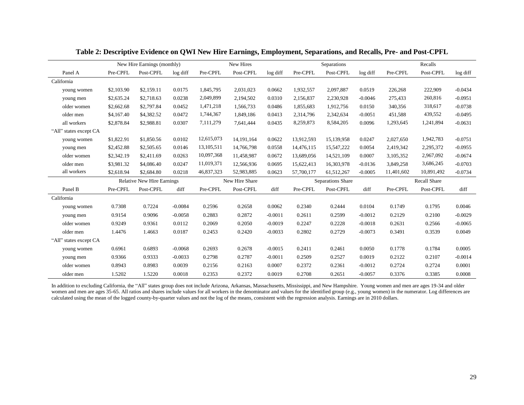|                        |            | New Hire Earnings (monthly)       |           |              | New Hires      |           |            | Separations       |           |            | Recalls             |           |
|------------------------|------------|-----------------------------------|-----------|--------------|----------------|-----------|------------|-------------------|-----------|------------|---------------------|-----------|
| Panel A                | Pre-CPFL   | Post-CPFL                         | log diff  | Pre-CPFL     | Post-CPFL      | log diff  | Pre-CPFL   | Post-CPFL         | log diff  | Pre-CPFL   | Post-CPFL           | log diff  |
| California             |            |                                   |           |              |                |           |            |                   |           |            |                     |           |
| young women            | \$2,103.90 | \$2,159.11                        | 0.0175    | 1,845,795    | 2,031,023      | 0.0662    | 1,932,557  | 2,097,887         | 0.0519    | 226,268    | 222,909             | $-0.0434$ |
| young men              | \$2,635.24 | \$2,718.63                        | 0.0238    | 2,049,899    | 2,194,502      | 0.0310    | 2,156,837  | 2,230,928         | $-0.0046$ | 275,433    | 260,816             | $-0.0951$ |
| older women            | \$2,662.68 | \$2,797.84                        | 0.0452    | 1,471,218    | 1,566,733      | 0.0486    | 1,855,683  | 1,912,756         | 0.0150    | 340,356    | 318,617             | $-0.0738$ |
| older men              | \$4,167.40 | \$4,382.52                        | 0.0472    | 1,744,367    | 1,849,186      | 0.0413    | 2,314,796  | 2,342,634         | $-0.0051$ | 451,588    | 439,552             | $-0.0495$ |
| all workers            | \$2,878.84 | \$2,988.81                        | 0.0307    | 7,111,279    | 7,641,444      | 0.0435    | 8,259,873  | 8,584,205         | 0.0096    | 1,293,645  | 1,241,894           | $-0.0631$ |
| "All" states except CA |            |                                   |           |              |                |           |            |                   |           |            |                     |           |
| young women            | \$1,822.91 | \$1,850.56                        | 0.0102    | 12,615,073   | 14, 191, 164   | 0.0622    | 13,912,593 | 15,139,958        | 0.0247    | 2,027,650  | 1,942,783           | $-0.0751$ |
| young men              | \$2,452.88 | \$2,505.65                        | 0.0146    | 13, 105, 511 | 14,766,798     | 0.0558    | 14,476,115 | 15,547,222        | 0.0054    | 2,419,342  | 2,295,372           | $-0.0955$ |
| older women            | \$2,342.19 | \$2,411.69                        | 0.0263    | 10,097,368   | 11,458,987     | 0.0672    | 13,689,056 | 14,521,109        | 0.0007    | 3,105,352  | 2,967,092           | $-0.0674$ |
| older men              | \$3,981.32 | \$4,086.40                        | 0.0247    | 11,019,371   | 12,566,936     | 0.0695    | 15,622,413 | 16,303,978        | $-0.0136$ | 3,849,258  | 3,686,245           | $-0.0703$ |
| all workers            | \$2,618.94 | \$2,684.80                        | 0.0218    | 46,837,323   | 52,983,885     | 0.0623    | 57,700,177 | 61,512,267        | $-0.0005$ | 11,401,602 | 10,891,492          | $-0.0734$ |
|                        |            | <b>Relative New Hire Earnings</b> |           |              | New Hire Share |           |            | Separations Share |           |            | <b>Recall Share</b> |           |
| Panel B                | Pre-CPFL   | Post-CPFL                         | diff      | Pre-CPFL     | Post-CPFL      | diff      | Pre-CPFL   | Post-CPFL         | diff      | Pre-CPFL   | Post-CPFL           | diff      |
| California             |            |                                   |           |              |                |           |            |                   |           |            |                     |           |
| young women            | 0.7308     | 0.7224                            | $-0.0084$ | 0.2596       | 0.2658         | 0.0062    | 0.2340     | 0.2444            | 0.0104    | 0.1749     | 0.1795              | 0.0046    |
| young men              | 0.9154     | 0.9096                            | $-0.0058$ | 0.2883       | 0.2872         | $-0.0011$ | 0.2611     | 0.2599            | $-0.0012$ | 0.2129     | 0.2100              | $-0.0029$ |
| older women            | 0.9249     | 0.9361                            | 0.0112    | 0.2069       | 0.2050         | $-0.0019$ | 0.2247     | 0.2228            | $-0.0018$ | 0.2631     | 0.2566              | $-0.0065$ |
| older men              | 1.4476     | 1.4663                            | 0.0187    | 0.2453       | 0.2420         | $-0.0033$ | 0.2802     | 0.2729            | $-0.0073$ | 0.3491     | 0.3539              | 0.0049    |
| "All" states except CA |            |                                   |           |              |                |           |            |                   |           |            |                     |           |
| young women            | 0.6961     | 0.6893                            | $-0.0068$ | 0.2693       | 0.2678         | $-0.0015$ | 0.2411     | 0.2461            | 0.0050    | 0.1778     | 0.1784              | 0.0005    |
| young men              | 0.9366     | 0.9333                            | $-0.0033$ | 0.2798       | 0.2787         | $-0.0011$ | 0.2509     | 0.2527            | 0.0019    | 0.2122     | 0.2107              | $-0.0014$ |
| older women            | 0.8943     | 0.8983                            | 0.0039    | 0.2156       | 0.2163         | 0.0007    | 0.2372     | 0.2361            | $-0.0012$ | 0.2724     | 0.2724              | 0.0001    |
| older men              | 1.5202     | 1.5220                            | 0.0018    | 0.2353       | 0.2372         | 0.0019    | 0.2708     | 0.2651            | $-0.0057$ | 0.3376     | 0.3385              | 0.0008    |

**Table 2: Descriptive Evidence on QWI New Hire Earnings, Employment, Separations, and Recalls, Pre- and Post-CPFL**

In addition to excluding California, the "All" states group does not include Arizona, Arkansas, Massachusetts, Mississippi, and New Hampshire. Young women and men are ages 19-34 and older women and men are ages 35-65. All ratios and shares include values for all workers in the denominator and values for the identified group (e.g., young women) in the numerator. Log differences are calculated using the mean of the logged county-by-quarter values and not the log of the means, consistent with the regression analysis. Earnings are in 2010 dollars.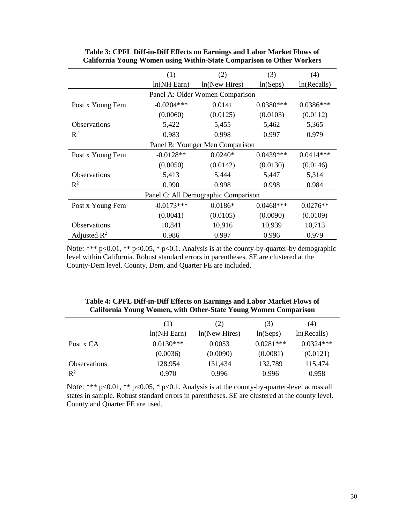|                                 | (1)          | (2)                                 | (3)         | (4)         |  |  |  |
|---------------------------------|--------------|-------------------------------------|-------------|-------------|--|--|--|
|                                 | ln(NH Earn)  | ln(New Hires)                       | ln(Seps)    | ln(Recalls) |  |  |  |
| Panel A: Older Women Comparison |              |                                     |             |             |  |  |  |
| Post x Young Fem                | $-0.0204***$ | 0.0141<br>$0.0380***$               |             | $0.0386***$ |  |  |  |
|                                 | (0.0060)     | (0.0125)                            | (0.0103)    | (0.0112)    |  |  |  |
| <b>Observations</b>             | 5,422        | 5,455                               | 5,462       | 5,365       |  |  |  |
| $R^2$                           | 0.983        | 0.998                               | 0.997       | 0.979       |  |  |  |
| Panel B: Younger Men Comparison |              |                                     |             |             |  |  |  |
| Post x Young Fem                | $-0.0128**$  | $0.0240*$                           | $0.0439***$ | $0.0414***$ |  |  |  |
|                                 | (0.0050)     | (0.0142)                            | (0.0130)    | (0.0146)    |  |  |  |
| <b>Observations</b>             | 5,413        | 5,444                               | 5,447       | 5,314       |  |  |  |
| $\mathbb{R}^2$                  | 0.990        | 0.998                               | 0.998       | 0.984       |  |  |  |
|                                 |              | Panel C: All Demographic Comparison |             |             |  |  |  |
| Post x Young Fem                | $-0.0173***$ | $0.0186*$                           | $0.0468***$ | $0.0276**$  |  |  |  |
|                                 | (0.0041)     | (0.0105)                            | (0.0090)    | (0.0109)    |  |  |  |
| <b>Observations</b>             | 10,841       | 10,916                              | 10,939      | 10,713      |  |  |  |
| Adjusted $R^2$                  | 0.986        | 0.997                               | 0.996       | 0.979       |  |  |  |

**Table 3: CPFL Diff-in-Diff Effects on Earnings and Labor Market Flows of California Young Women using Within-State Comparison to Other Workers**

Note: \*\*\* p<0.01, \*\* p<0.05, \* p<0.1. Analysis is at the county-by-quarter-by demographic level within California. Robust standard errors in parentheses. SE are clustered at the County-Dem level. County, Dem, and Quarter FE are included.

| Table 4: CPFL Diff-in-Diff Effects on Earnings and Labor Market Flows of |
|--------------------------------------------------------------------------|
| California Young Women, with Other-State Young Women Comparison          |

|                     | (1)         | (2)           | (3)         | (4)         |
|---------------------|-------------|---------------|-------------|-------------|
|                     | ln(NH Earn) | ln(New Hires) | ln(Seps)    | ln(Recalls) |
| Post x CA           | $0.0130***$ | 0.0053        | $0.0281***$ | $0.0324***$ |
|                     | (0.0036)    | (0.0090)      | (0.0081)    | (0.0121)    |
| <b>Observations</b> | 128,954     | 131,434       | 132,789     | 115,474     |
| $R^2$               | 0.970       | 0.996         | 0.996       | 0.958       |

Note: \*\*\* p<0.01, \*\* p<0.05, \* p<0.1. Analysis is at the county-by-quarter-level across all states in sample. Robust standard errors in parentheses. SE are clustered at the county level. County and Quarter FE are used.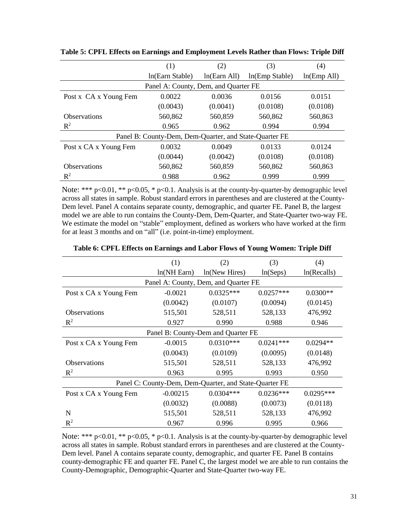|                       | (1)                                                    | (2)          | (3)            | (4)         |
|-----------------------|--------------------------------------------------------|--------------|----------------|-------------|
|                       | ln(Earn Stable)                                        | ln(Earn All) | ln(Emp Stable) | ln(Emp All) |
|                       | Panel A: County, Dem, and Quarter FE                   |              |                |             |
| Post x CA x Young Fem | 0.0022                                                 | 0.0036       | 0.0156         | 0.0151      |
|                       | (0.0043)                                               | (0.0041)     | (0.0108)       | (0.0108)    |
| <b>Observations</b>   | 560,862                                                | 560,859      | 560,862        | 560,863     |
| $R^2$                 | 0.965                                                  | 0.962        | 0.994          | 0.994       |
|                       | Panel B: County-Dem, Dem-Quarter, and State-Quarter FE |              |                |             |
| Post x CA x Young Fem | 0.0032                                                 | 0.0049       | 0.0133         | 0.0124      |
|                       | (0.0044)                                               | (0.0042)     | (0.0108)       | (0.0108)    |
| <b>Observations</b>   | 560,862                                                | 560,859      | 560,862        | 560,863     |
| $R^2$                 | 0.988                                                  | 0.962        | 0.999          | 0.999       |

**Table 5: CPFL Effects on Earnings and Employment Levels Rather than Flows: Triple Diff**

Note: \*\*\* p<0.01, \*\* p<0.05, \* p<0.1. Analysis is at the county-by-quarter-by demographic level across all states in sample. Robust standard errors in parentheses and are clustered at the County-Dem level. Panel A contains separate county, demographic, and quarter FE. Panel B, the largest model we are able to run contains the County-Dem, Dem-Quarter, and State-Quarter two-way FE. We estimate the model on "stable" employment, defined as workers who have worked at the firm for at least 3 months and on "all" (i.e. point-in-time) employment.

|                                    | (1)                                  | (2)                                                    | (3)                       | (4)         |  |  |  |  |
|------------------------------------|--------------------------------------|--------------------------------------------------------|---------------------------|-------------|--|--|--|--|
|                                    | ln(NH Earn)                          | ln(New Hires)                                          | ln(Seps)                  | ln(Recalls) |  |  |  |  |
|                                    | Panel A: County, Dem, and Quarter FE |                                                        |                           |             |  |  |  |  |
| Post x CA x Young Fem              | $-0.0021$                            | $0.0325***$                                            | $0.0257***$<br>$0.0300**$ |             |  |  |  |  |
|                                    | (0.0042)                             | (0.0107)                                               | (0.0094)                  | (0.0145)    |  |  |  |  |
| <b>Observations</b>                | 515,501                              | 528,511                                                | 528,133                   | 476,992     |  |  |  |  |
| $\mathbb{R}^2$                     | 0.927                                | 0.990                                                  | 0.988                     | 0.946       |  |  |  |  |
| Panel B: County-Dem and Quarter FE |                                      |                                                        |                           |             |  |  |  |  |
| Post x CA x Young Fem              | $-0.0015$                            | $0.0310***$                                            | $0.0241***$               | $0.0294**$  |  |  |  |  |
|                                    | (0.0043)                             | (0.0109)                                               | (0.0095)                  | (0.0148)    |  |  |  |  |
| <b>Observations</b>                | 515,501                              | 528,511                                                | 528,133                   | 476,992     |  |  |  |  |
| $\mathbb{R}^2$                     | 0.963                                | 0.995                                                  | 0.993                     | 0.950       |  |  |  |  |
|                                    |                                      | Panel C: County-Dem, Dem-Quarter, and State-Quarter FE |                           |             |  |  |  |  |
| Post x CA x Young Fem              | $-0.00215$                           | $0.0304***$                                            | $0.0236***$               | $0.0295***$ |  |  |  |  |
|                                    | (0.0032)                             | (0.0088)                                               | (0.0073)                  | (0.0118)    |  |  |  |  |
| N                                  | 515,501                              | 528,511                                                | 528,133                   | 476,992     |  |  |  |  |
| $\mathbb{R}^2$                     | 0.967                                | 0.996                                                  | 0.995                     | 0.966       |  |  |  |  |

|  | Table 6: CPFL Effects on Earnings and Labor Flows of Young Women: Triple Diff |  |  |  |
|--|-------------------------------------------------------------------------------|--|--|--|
|  |                                                                               |  |  |  |

Note: \*\*\* p<0.01, \*\* p<0.05, \* p<0.1. Analysis is at the county-by-quarter-by demographic level across all states in sample. Robust standard errors in parentheses and are clustered at the County-Dem level. Panel A contains separate county, demographic, and quarter FE. Panel B contains county-demographic FE and quarter FE. Panel C, the largest model we are able to run contains the County-Demographic, Demographic-Quarter and State-Quarter two-way FE.